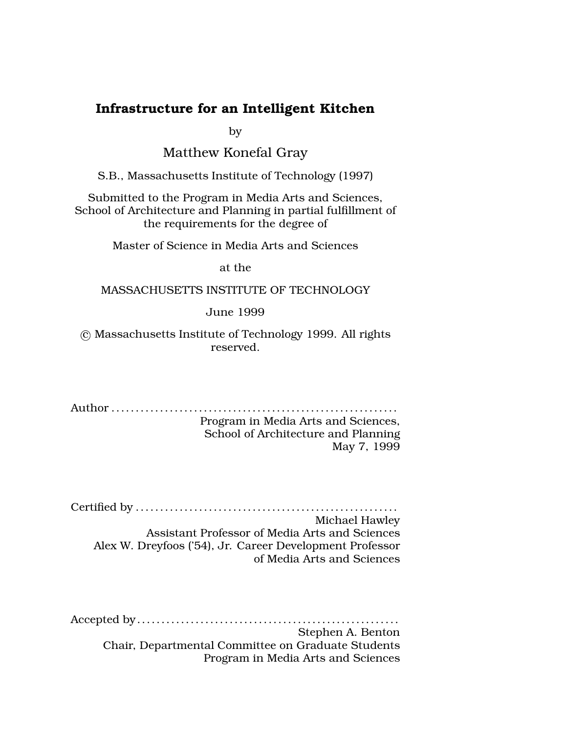## Infrastructure for an Intelligent Kitchen

by

Matthew Konefal Gray

S.B., Massachusetts Institute of Technology (1997)

Submitted to the Program in Media Arts and Sciences, School of Architecture and Planning in partial fulfillment of the requirements for the degree of

Master of Science in Media Arts and Sciences

at the

## MASSACHUSETTS INSTITUTE OF TECHNOLOGY

June 1999

 $\odot$  Massachusetts Institute of Technology 1999. All rights reserved.

Author . . . . . . . . . . . . . . . . . . . . . . . . . . . . . . . . . . . . . . . . . . . . .. . . . . . . . . . . . . .

Program in Media Arts and Sciences, School of Architecture and Planning May 7, 1999

Certified by . . . . . . . . . . . . . . . . . . . . . . . . . . . . . . . . . . . . . . . . .. . . . . . . . . . . . . Michael Hawley Assistant Professor of Media Arts and Sciences Alex W. Dreyfoos ('54), Jr. Career Development Professor of Media Arts and Sciences

Accepted by . . . . . . . . . . . . . . . . . . . . . . . . . . . . . . . . . . . . . . . . .. . . . . . . . . . . . . Stephen A. Benton Chair, Departmental Committee on Graduate Students Program in Media Arts and Sciences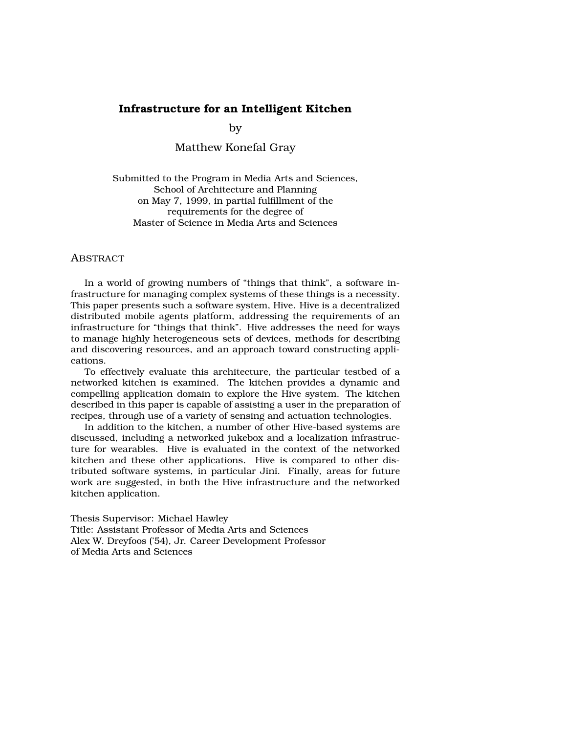## Infrastructure for an Intelligent Kitchen

by

Matthew Konefal Gray

Submitted to the Program in Media Arts and Sciences, School of Architecture and Planning on May 7, 1999, in partial fulfillment of the requirements for the degree of Master of Science in Media Arts and Sciences

### **ABSTRACT**

In a world of growing numbers of "things that think", a software infrastructure for managing complex systems of these things is a necessity. This paper presents such a software system, Hive. Hive is a decentralized distributed mobile agents platform, addressing the requirements of an infrastructure for "things that think". Hive addresses the need for ways to manage highly heterogeneous sets of devices, methods for describing and discovering resources, and an approach toward constructing applications.

To effectively evaluate this architecture, the particular testbed of a networked kitchen is examined. The kitchen provides a dynamic and compelling application domain to explore the Hive system. The kitchen described in this paper is capable of assisting a user in the preparation of recipes, through use of a variety of sensing and actuation technologies.

In addition to the kitchen, a number of other Hive-based systems are discussed, including a networked jukebox and a localization infrastructure for wearables. Hive is evaluated in the context of the networked kitchen and these other applications. Hive is compared to other distributed software systems, in particular Jini. Finally, areas for future work are suggested, in both the Hive infrastructure and the networked kitchen application.

Thesis Supervisor: Michael Hawley Title: Assistant Professor of Media Arts and Sciences Alex W. Dreyfoos ('54), Jr. Career Development Professor of Media Arts and Sciences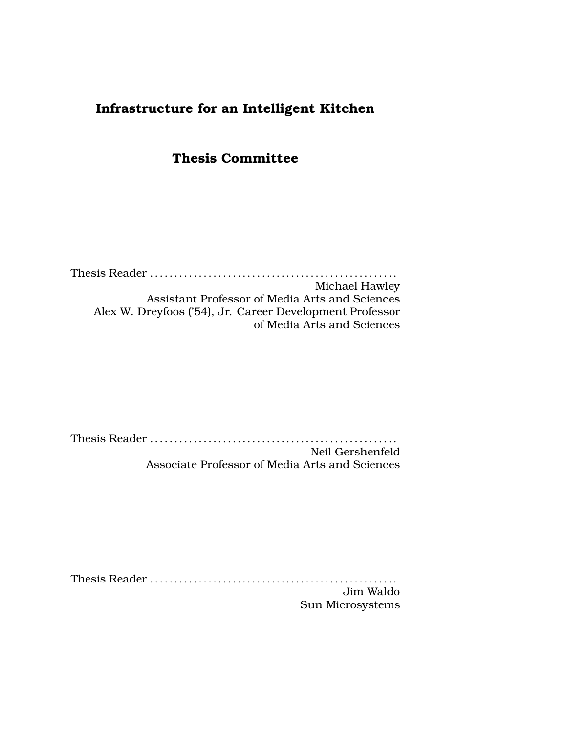# Infrastructure for an Intelligent Kitchen

## Thesis Committee

Thesis Reader . . . . . . . . . . . . . . . . . . . . . . . . . . . . . . . . . . . . . . .. . . . . . . . . . . . Michael Hawley Assistant Professor of Media Arts and Sciences Alex W. Dreyfoos ('54), Jr. Career Development Professor of Media Arts and Sciences

Thesis Reader . . . . . . . . . . . . . . . . . . . . . . . . . . . . . . . . . . . . . . .. . . . . . . . . . . . Neil Gershenfeld Associate Professor of Media Arts and Sciences

Thesis Reader . . . . . . . . . . . . . . . . . . . . . . . . . . . . . . . . . . . . . . .. . . . . . . . . . . . Jim Waldo

Sun Microsystems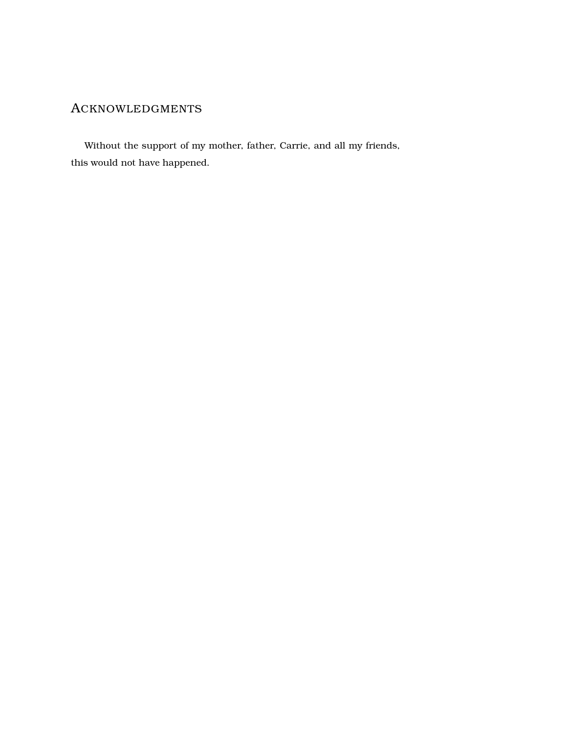# ACKNOWLEDGMENTS

Without the support of my mother, father, Carrie, and all my friends, this would not have happened.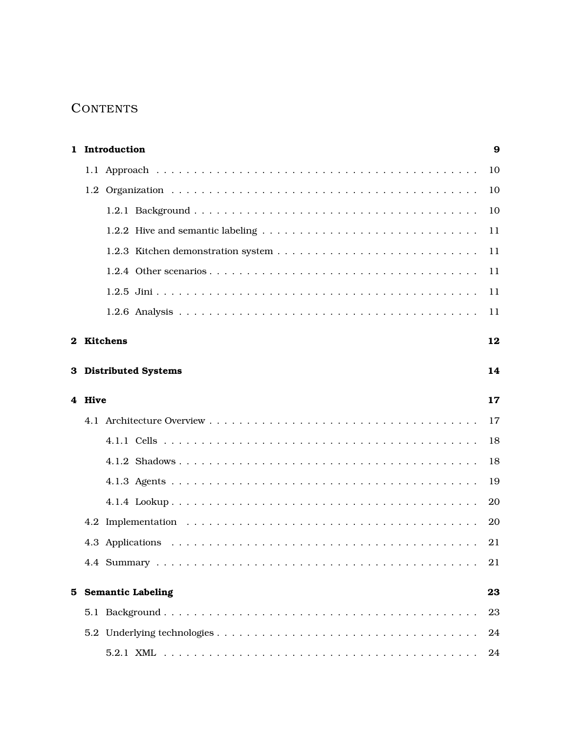# **CONTENTS**

| 1 Introduction        | 9  |
|-----------------------|----|
|                       | 10 |
|                       | 10 |
|                       | 10 |
|                       | 11 |
|                       | 11 |
|                       | 11 |
|                       | 11 |
|                       | 11 |
| 2 Kitchens            | 12 |
| 3 Distributed Systems | 14 |
| 4 Hive                | 17 |
|                       | 17 |
|                       | 18 |
|                       | 18 |
|                       | 19 |
|                       | 20 |
|                       | 20 |
|                       | 21 |
|                       | 21 |
| 5 Semantic Labeling   | 23 |
|                       | 23 |
|                       | 24 |
|                       | 24 |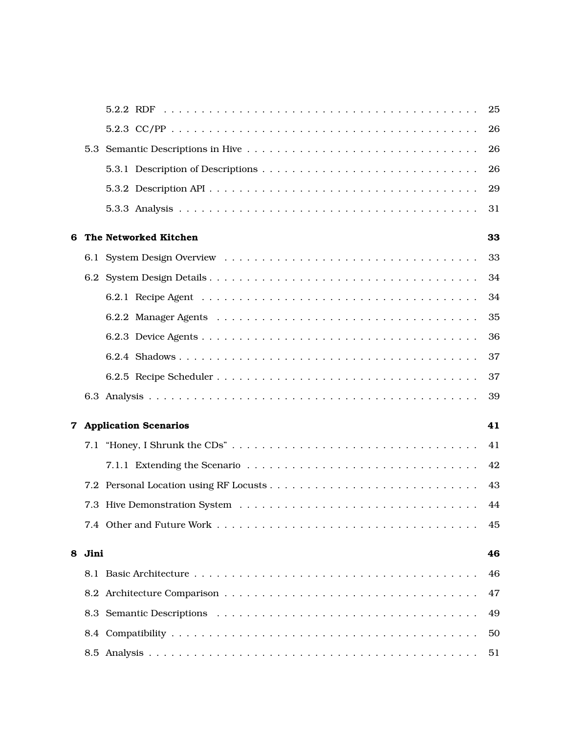|   |        |                                | 25 |
|---|--------|--------------------------------|----|
|   |        |                                | 26 |
|   |        |                                | 26 |
|   |        |                                | 26 |
|   |        |                                | 29 |
|   |        |                                | 31 |
| 6 |        | The Networked Kitchen          | 33 |
|   |        |                                | 33 |
|   |        |                                | 34 |
|   |        |                                | 34 |
|   |        |                                | 35 |
|   |        |                                | 36 |
|   |        |                                | 37 |
|   |        |                                | 37 |
|   |        |                                | 39 |
|   |        |                                | 41 |
|   |        | <b>7 Application Scenarios</b> |    |
|   |        |                                | 41 |
|   |        |                                | 42 |
|   |        |                                | 43 |
|   |        |                                |    |
|   |        |                                | 44 |
|   |        |                                | 45 |
|   | 8 Jini |                                | 46 |
|   |        |                                | 46 |
|   |        |                                | 47 |
|   |        |                                | 49 |
|   |        |                                | 50 |
|   |        |                                | 51 |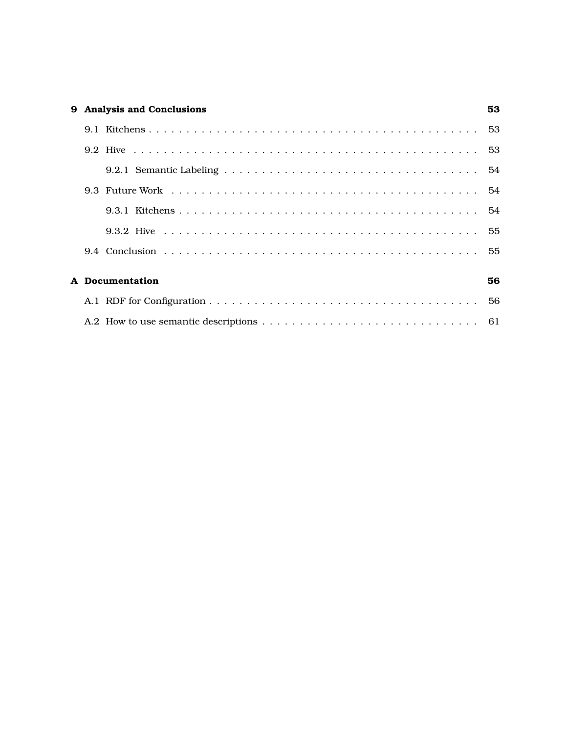|  | 9 Analysis and Conclusions | 53 |
|--|----------------------------|----|
|  |                            |    |
|  |                            |    |
|  |                            |    |
|  |                            |    |
|  |                            |    |
|  |                            |    |
|  |                            |    |
|  |                            |    |
|  | A Documentation            | 56 |
|  |                            |    |
|  |                            |    |
|  |                            |    |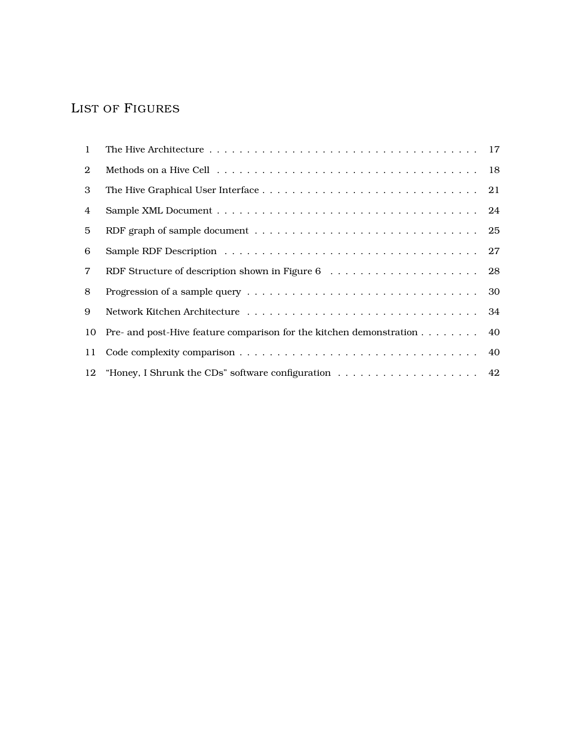# LIST OF FIGURES

| $\mathbf{1}$   |                                                                           |  |
|----------------|---------------------------------------------------------------------------|--|
| $\overline{2}$ |                                                                           |  |
| 3              |                                                                           |  |
| 4              |                                                                           |  |
| 5.             |                                                                           |  |
| 6              |                                                                           |  |
| 7              |                                                                           |  |
| 8              |                                                                           |  |
| 9              |                                                                           |  |
|                | 10 Pre- and post-Hive feature comparison for the kitchen demonstration 40 |  |
| 11             |                                                                           |  |
|                | 12 "Honey, I Shrunk the CDs" software configuration 42                    |  |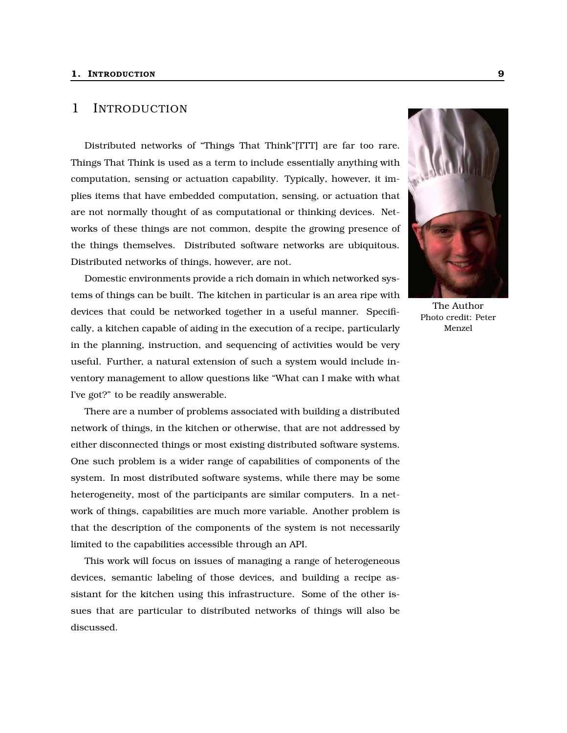### 1. INTRODUCTION 9

## 1 INTRODUCTION

Distributed networks of "Things That Think"[TTT] are far too rare. Things That Think is used as a term to include essentially anything with computation, sensing or actuation capability. Typically, however, it implies items that have embedded computation, sensing, or actuation that are not normally thought of as computational or thinking devices. Networks of these things are not common, despite the growing presence of the things themselves. Distributed software networks are ubiquitous. Distributed networks of things, however, are not.

Domestic environments provide a rich domain in which networked systems of things can be built. The kitchen in particular is an area ripe with devices that could be networked together in a useful manner. Specifically, a kitchen capable of aiding in the execution of a recipe, particularly in the planning, instruction, and sequencing of activities would be very useful. Further, a natural extension of such a system would include inventory management to allow questions like "What can I make with what I've got?" to be readily answerable.

There are a number of problems associated with building a distributed network of things, in the kitchen or otherwise, that are not addressed by either disconnected things or most existing distributed software systems. One such problem is a wider range of capabilities of components of the system. In most distributed software systems, while there may be some heterogeneity, most of the participants are similar computers. In a network of things, capabilities are much more variable. Another problem is that the description of the components of the system is not necessarily limited to the capabilities accessible through an API.

This work will focus on issues of managing a range of heterogeneous devices, semantic labeling of those devices, and building a recipe assistant for the kitchen using this infrastructure. Some of the other issues that are particular to distributed networks of things will also be discussed.



The Author Photo credit: Peter Menzel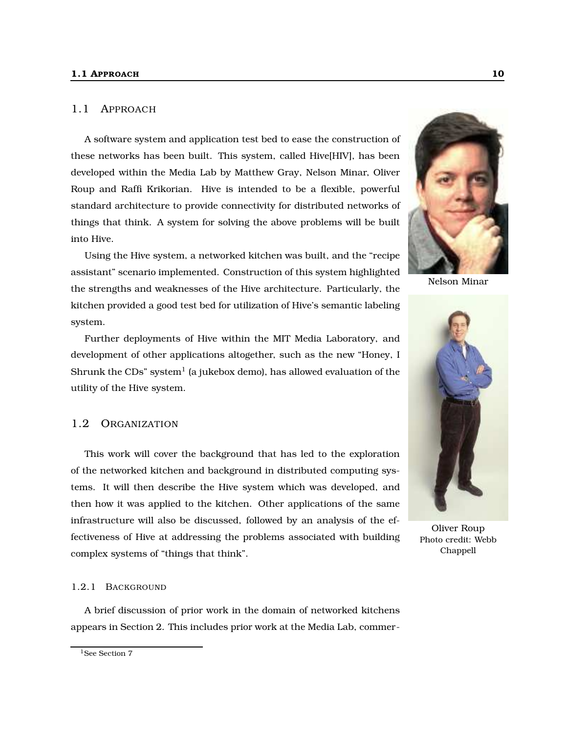## 1.1 APPROACH

A software system and application test bed to ease the construction of these networks has been built. This system, called Hive[HIV], has been developed within the Media Lab by Matthew Gray, Nelson Minar, Oliver Roup and Raffi Krikorian. Hive is intended to be a flexible, powerful standard architecture to provide connectivity for distributed networks of things that think. A system for solving the above problems will be built into Hive.

Using the Hive system, a networked kitchen was built, and the "recipe assistant" scenario implemented. Construction of this system highlighted the strengths and weaknesses of the Hive architecture. Particularly, the kitchen provided a good test bed for utilization of Hive's semantic labeling system.

Further deployments of Hive within the MIT Media Laboratory, and development of other applications altogether, such as the new "Honey, I Shrunk the CDs" system $^{\rm l}$  (a jukebox demo), has allowed evaluation of the utility of the Hive system.

### 1.2 ORGANIZATION

This work will cover the background that has led to the exploration of the networked kitchen and background in distributed computing systems. It will then describe the Hive system which was developed, and then how it was applied to the kitchen. Other applications of the same infrastructure will also be discussed, followed by an analysis of the effectiveness of Hive at addressing the problems associated with building complex systems of "things that think".



Nelson Minar



Oliver Roup Photo credit: Webb Chappell

### 1.2.1 BACKGROUND

A brief discussion of prior work in the domain of networked kitchens appears in Section 2. This includes prior work at the Media Lab, commer-

<sup>&</sup>lt;sup>1</sup>See Section 7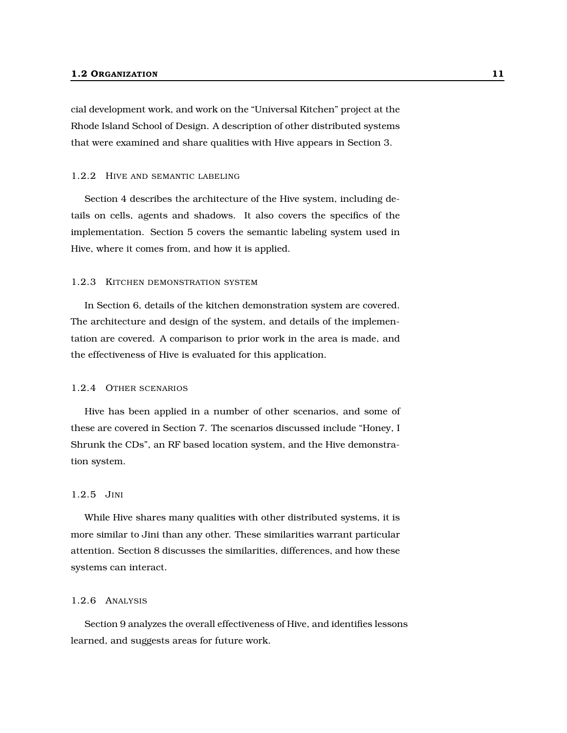### 1.2 ORGANIZATION 11

cial development work, and work on the "Universal Kitchen" project at the Rhode Island School of Design. A description of other distributed systems that were examined and share qualities with Hive appears in Section 3.

### 1.2.2 HIVE AND SEMANTIC LABELING

Section 4 describes the architecture of the Hive system, including details on cells, agents and shadows. It also covers the specifics of the implementation. Section 5 covers the semantic labeling system used in Hive, where it comes from, and how it is applied.

### 1.2.3 KITCHEN DEMONSTRATION SYSTEM

In Section 6, details of the kitchen demonstration system are covered. The architecture and design of the system, and details of the implementation are covered. A comparison to prior work in the area is made, and the effectiveness of Hive is evaluated for this application.

### 1.2.4 OTHER SCENARIOS

Hive has been applied in a number of other scenarios, and some of these are covered in Section 7. The scenarios discussed include "Honey, I Shrunk the CDs", an RF based location system, and the Hive demonstration system.

## 1.2.5 JINI

While Hive shares many qualities with other distributed systems, it is more similar to Jini than any other. These similarities warrant particular attention. Section 8 discusses the similarities, differences, and how these systems can interact.

### 1.2.6 ANALYSIS

Section 9 analyzes the overall effectiveness of Hive, and identifies lessons learned, and suggests areas for future work.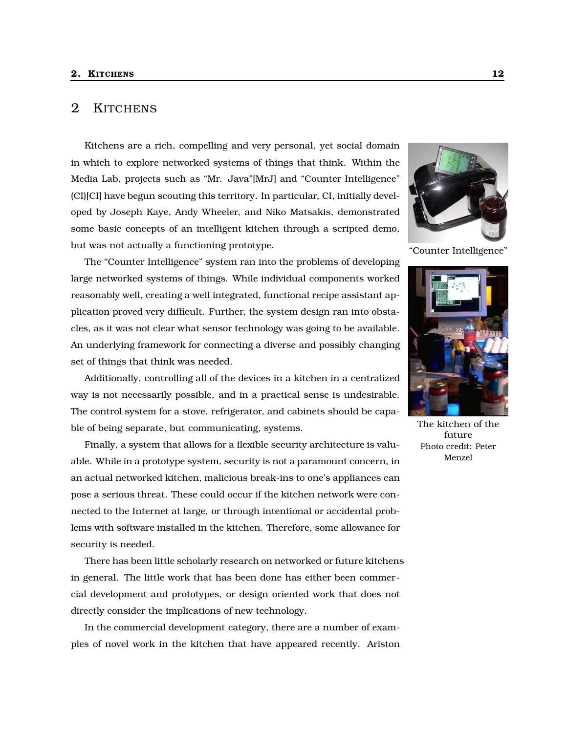#### 2. KITCHENS  $12$

## 2 KITCHENS

Kitchens are a rich, compelling and very personal, yet social domain in which to explore networked systems of things that think. Within the Media Lab, projects such as "Mr. Java"[MrJ] and "Counter Intelligence" (CI)[CI] have begun scouting this territory. In particular, CI, initially devel oped by Joseph Kaye, Andy Wheeler, and Niko Matsakis, demonstrated some basic concepts of an intelligent kitchen through a scripted demo, but was not actually a functioning prototype.

The "Counter Intelligence" system ran into the problems of developing large networked systems of things. While individual components worked reasonably well, creating a well integrated, functional recipe assistant application proved very difficult. Further, the system design ran into obstacles, as it was not clear what sensor technology was going to be available. An underlying framework for connecting a diverse and possibly changing set of things that think was needed.

Additionally, controlling all of the devices in a kitchen in a centralized way is not necessarily possible, and in a practical sense is undesirable. The control system for a stove, refrigerator, and cabinets should be capable of being separate, but communicating, systems.

Finally, a system that allows for a flexible security architecture is valuable. While in a prototype system, security is not a paramount concern, in an actual networked kitchen, malicious break-ins to one's appliances can pose a serious threat. These could occur if the kitchen network were connected to the Internet at large, or through intentional or accidental problems with software installed in the kitchen. Therefore, some allowance for security is needed.

There has been little scholarly research on networked or future kitchens in general. The little work that has been done has either been commercial development and prototypes, or design oriented work that does not directly consider the implications of new technology.

In the commercial development category, there are a number of examples of novel work in the kitchen that have appeared recently. Ariston



"Counter Intelligence"



The kitchen of the future Photo credit: Peter Menzel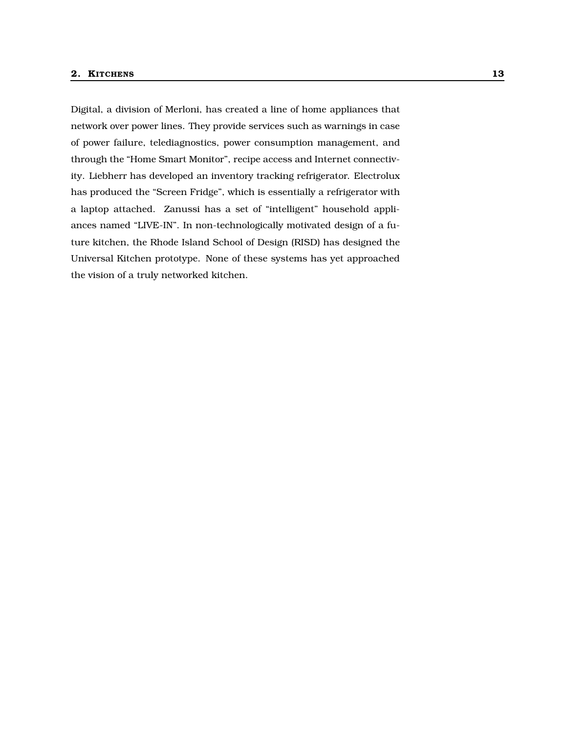Digital, a division of Merloni, has created a line of home appliances that network over power lines. They provide services such as warnings in case of power failure, telediagnostics, power consumption management, and through the "Home Smart Monitor", recipe access and Internet connectivity. Liebherr has developed an inventory tracking refrigerator. Electrolux has produced the "Screen Fridge", which is essentially a refrigerator with a laptop attached. Zanussi has a set of "intelligent" household appliances named "LIVE-IN". In non-technologically motivated design of a future kitchen, the Rhode Island School of Design (RISD) has designed the Universal Kitchen prototype. None of these systems has yet approached the vision of a truly networked kitchen.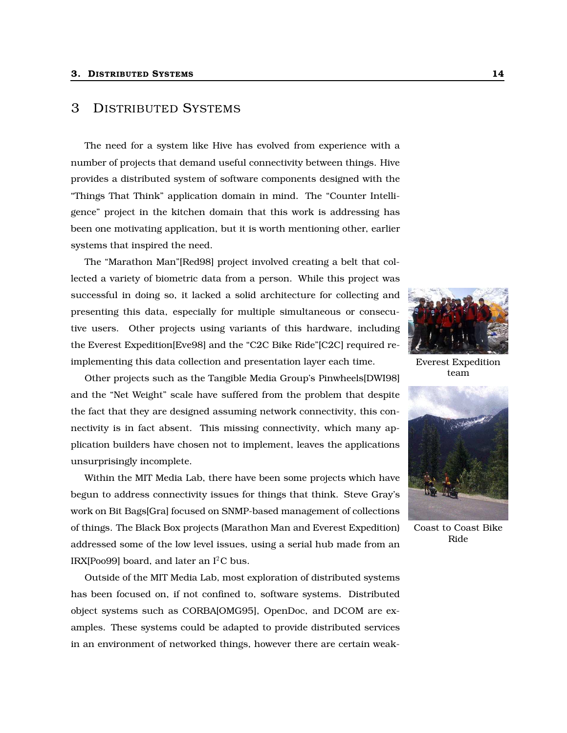## 3 DISTRIBUTED SYSTEMS

The need for a system like Hive has evolved from experience with a number of projects that demand useful connectivity between things. Hive provides a distributed system of software components designed with the "Things That Think" application domain in mind. The "Counter Intelligence" project in the kitchen domain that this work is addressing has been one motivating application, but it is worth mentioning other, earlier systems that inspired the need.

The "Marathon Man"[Red98] project involved creating a belt that collected a variety of biometric data from a person. While this project was successful in doing so, it lacked a solid architecture for collecting and presenting this data, especially for multiple simultaneous or consecutive users. Other projects using variants of this hardware, including the Everest Expedition[Eve98] and the "C2C Bike Ride"[C2C] required reimplementing this data collection and presentation layer each time.

Other projects such as the Tangible Media Group's Pinwheels[DWI98] and the "Net Weight" scale have suffered from the problem that despite the fact that they are designed assuming network connectivity, this connectivity is in fact absent. This missing connectivity, which many application builders have chosen not to implement, leaves the applications unsurprisingly incomplete.

Within the MIT Media Lab, there have been some projects which have begun to address connectivity issues for things that think. Steve Gray's work on Bit Bags[Gra] focused on SNMP-based management of collections of things. The Black Box projects (Marathon Man and Everest Expedition) addressed some of the low level issues, using a serial hub made from an IRX[Poo99] board, and later an  $I<sup>2</sup>C$  bus.

Outside of the MIT Media Lab, most exploration of distributed systems has been focused on, if not confined to, software systems. Distributed object systems such as CORBA[OMG95], OpenDoc, and DCOM are examples. These systems could be adapted to provide distributed services in an environment of networked things, however there are certain weak-



Everest Expedition team



Coast to Coast Bike Ride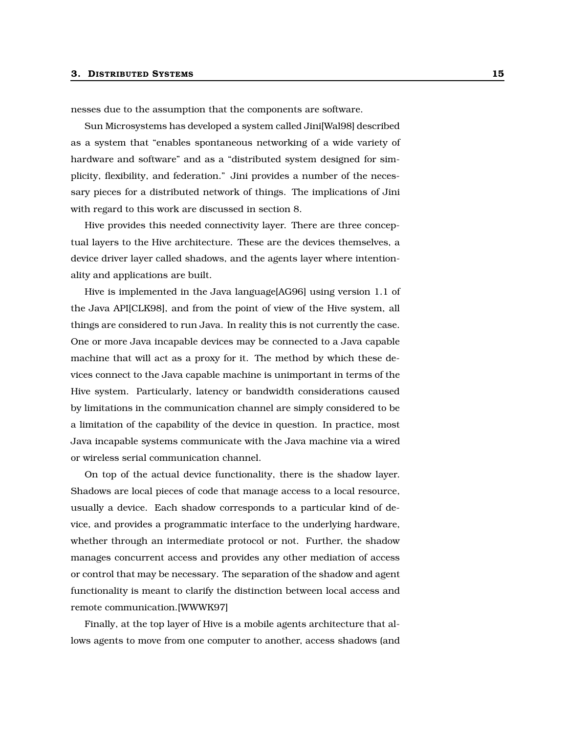### 3. DISTRIBUTED SYSTEMS 15

nesses due to the assumption that the components are software.

Sun Microsystems has developed a system called Jini[Wal98] described as a system that "enables spontaneous networking of a wide variety of hardware and software" and as a "distributed system designed for simplicity, flexibility, and federation." Jini provides a number of the necessary pieces for a distributed network of things. The implications of Jini with regard to this work are discussed in section 8.

Hive provides this needed connectivity layer. There are three conceptual layers to the Hive architecture. These are the devices themselves, a device driver layer called shadows, and the agents layer where intentionality and applications are built.

Hive is implemented in the Java language[AG96] using version 1.1 of the Java API[CLK98], and from the point of view of the Hive system, all things are considered to run Java. In reality this is not currently the case. One or more Java incapable devices may be connected to a Java capable machine that will act as a proxy for it. The method by which these devices connect to the Java capable machine is unimportant in terms of the Hive system. Particularly, latency or bandwidth considerations caused by limitations in the communication channel are simply considered to be a limitation of the capability of the device in question. In practice, most Java incapable systems communicate with the Java machine via a wired or wireless serial communication channel.

On top of the actual device functionality, there is the shadow layer. Shadows are local pieces of code that manage access to a local resource, usually a device. Each shadow corresponds to a particular kind of device, and provides a programmatic interface to the underlying hardware, whether through an intermediate protocol or not. Further, the shadow manages concurrent access and provides any other mediation of access or control that may be necessary. The separation of the shadow and agent functionality is meant to clarify the distinction between local access and remote communication.[WWWK97]

Finally, at the top layer of Hive is a mobile agents architecture that allows agents to move from one computer to another, access shadows (and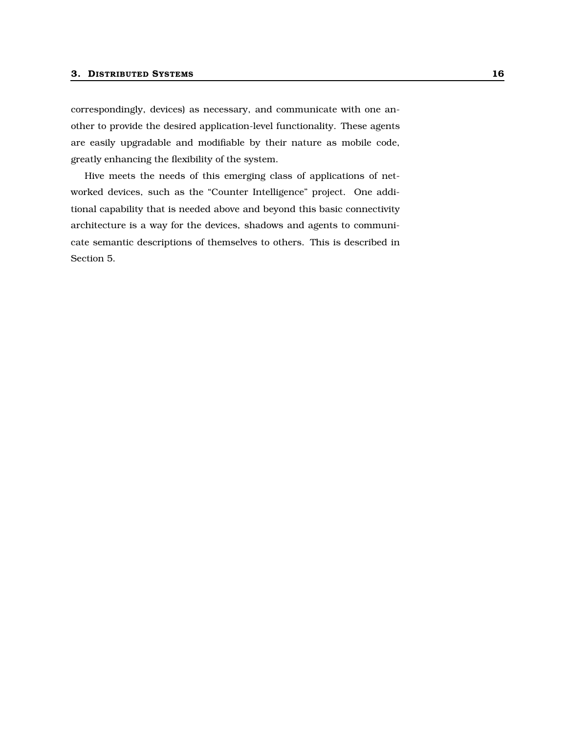### 3. DISTRIBUTED SYSTEMS 16

correspondingly, devices) as necessary, and communicate with one another to provide the desired application-level functionality. These agents are easily upgradable and modifiable by their nature as mobile code, greatly enhancing the flexibility of the system.

Hive meets the needs of this emerging class of applications of networked devices, such as the "Counter Intelligence" project. One additional capability that is needed above and beyond this basic connectivity architecture is a way for the devices, shadows and agents to communicate semantic descriptions of themselves to others. This is described in Section 5.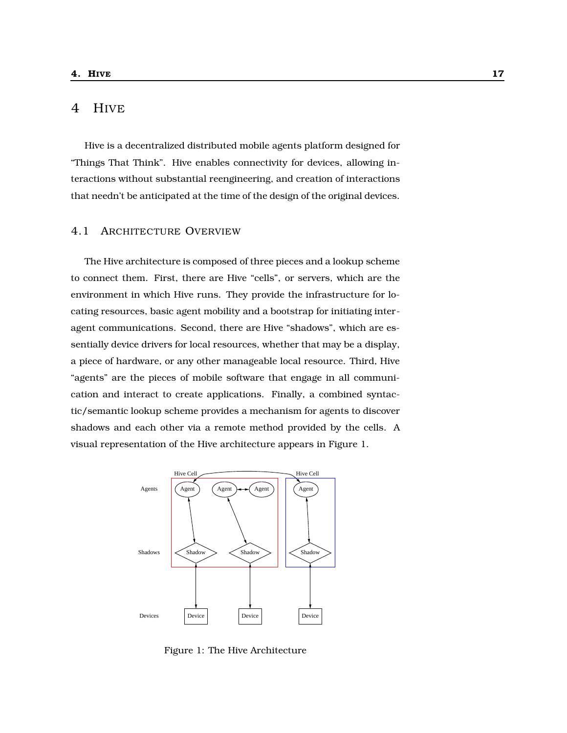## 4 HIVE

Hive is a decentralized distributed mobile agents platform designed for "Things That Think". Hive enables connectivity for devices, allowing interactions without substantial reengineering, and creation of interactions that needn't be anticipated at the time of the design of the original devices.

## 4.1 ARCHITECTURE OVERVIEW

The Hive architecture is composed of three pieces and a lookup scheme to connect them. First, there are Hive "cells", or servers, which are the environment in which Hive runs. They provide the infrastructure for locating resources, basic agent mobility and a bootstrap for initiating interagent communications. Second, there are Hive "shadows", which are essentially device drivers for local resources, whether that may be a display, a piece of hardware, or any other manageable local resource. Third, Hive "agents" are the pieces of mobile software that engage in all communication and interact to create applications. Finally, a combined syntactic/semantic lookup scheme provides a mechanism for agents to discover shadows and each other via a remote method provided by the cells. A visual representation of the Hive architecture appears in Figure 1.



Figure 1: The Hive Architecture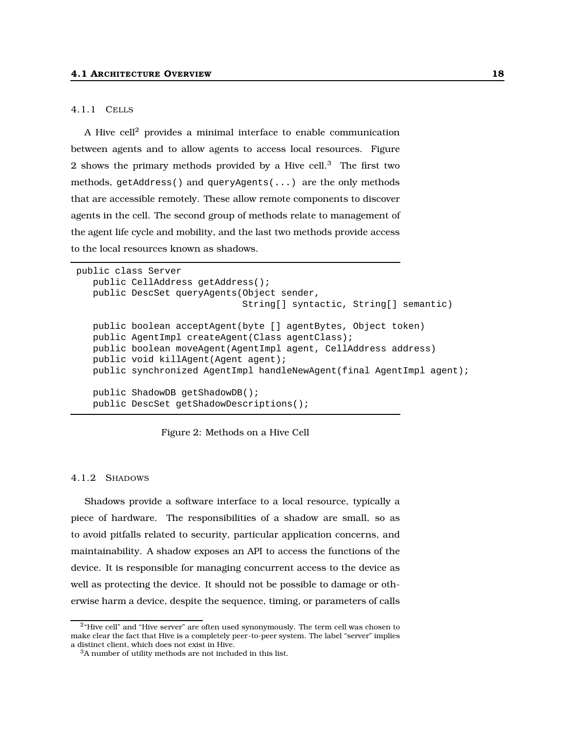### 4.1.1 CELLS

A Hive cell<sup>2</sup> provides a minimal interface to enable communication between agents and to allow agents to access local resources. Figure 2 shows the primary methods provided by a Hive cell.<sup>3</sup> The first two methods, getAddress() and queryAgents(...) are the only methods that are accessible remotely. These allow remote components to discover agents in the cell. The second group of methods relate to management of the agent life cycle and mobility, and the last two methods provide access to the local resources known as shadows.

```
public class Server
  public CellAddress getAddress();
   public DescSet queryAgents(Object sender,
                              String[] syntactic, String[] semantic)
   public boolean acceptAgent(byte [] agentBytes, Object token)
   public AgentImpl createAgent(Class agentClass);
   public boolean moveAgent(AgentImpl agent, CellAddress address)
  public void killAgent(Agent agent);
  public synchronized AgentImpl handleNewAgent(final AgentImpl agent);
  public ShadowDB getShadowDB();
  public DescSet getShadowDescriptions();
```
Figure 2: Methods on a Hive Cell

### 4.1.2 SHADOWS

Shadows provide a software interface to a local resource, typically a piece of hardware. The responsibilities of a shadow are small, so as to avoid pitfalls related to security, particular application concerns, and maintainability. A shadow exposes an API to access the functions of the device. It is responsible for managing concurrent access to the device as well as protecting the device. It should not be possible to damage or otherwise harm a device, despite the sequence, timing, or parameters of calls

 $^{2}$  Hive cell" and "Hive server" are often used synonymously. The term cell was chosen to make clear the fact that Hive is a completely peer-to-peer system. The label "server" implies a distinct client, which does not exist in Hive.

<sup>3</sup>A number of utility methods are not included in this list.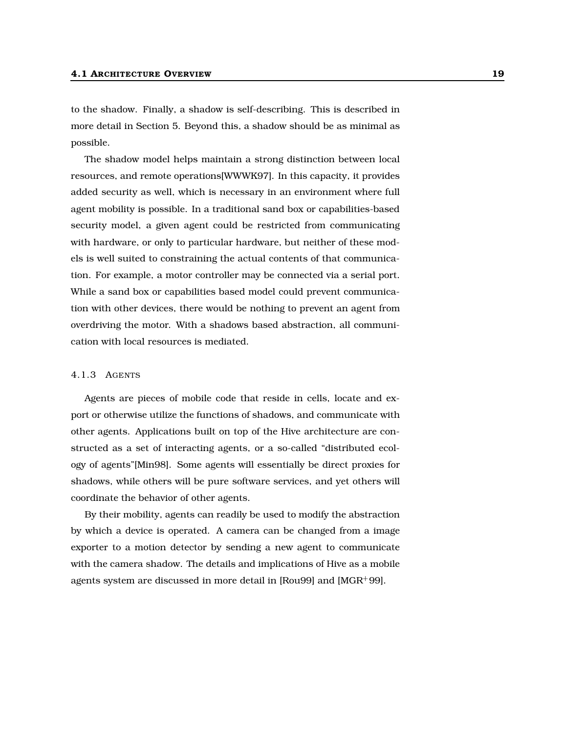to the shadow. Finally, a shadow is self-describing. This is described in more detail in Section 5. Beyond this, a shadow should be as minimal as possible.

The shadow model helps maintain a strong distinction between local resources, and remote operations[WWWK97]. In this capacity, it provides added security as well, which is necessary in an environment where full agent mobility is possible. In a traditional sand box or capabilities-based security model, a given agent could be restricted from communicating with hardware, or only to particular hardware, but neither of these models is well suited to constraining the actual contents of that communication. For example, a motor controller may be connected via a serial port. While a sand box or capabilities based model could prevent communication with other devices, there would be nothing to prevent an agent from overdriving the motor. With a shadows based abstraction, all communication with local resources is mediated.

### 4.1.3 AGENTS

Agents are pieces of mobile code that reside in cells, locate and export or otherwise utilize the functions of shadows, and communicate with other agents. Applications built on top of the Hive architecture are constructed as a set of interacting agents, or a so-called "distributed ecology of agents"[Min98]. Some agents will essentially be direct proxies for shadows, while others will be pure software services, and yet others will coordinate the behavior of other agents.

By their mobility, agents can readily be used to modify the abstraction by which a device is operated. A camera can be changed from a image exporter to a motion detector by sending a new agent to communicate with the camera shadow. The details and implications of Hive as a mobile agents system are discussed in more detail in [Rou99] and [MGR <sup>+</sup> 99].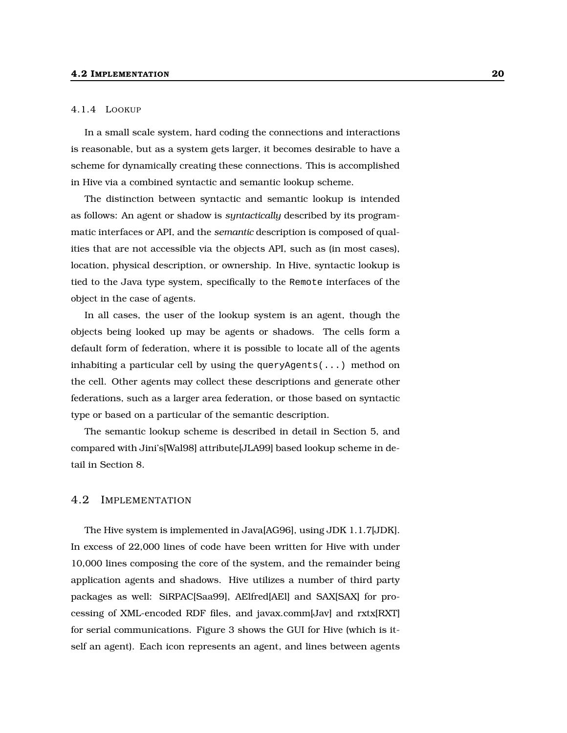### 4.1.4 LOOKUP

In a small scale system, hard coding the connections and interactions is reasonable, but as a system gets larger, it becomes desirable to have a scheme for dynamically creating these connections. This is accomplished in Hive via a combined syntactic and semantic lookup scheme.

The distinction between syntactic and semantic lookup is intended as follows: An agent or shadow is *syntactically* described by its programmatic interfaces or API, and the *semantic* description is composed of qualities that are not accessible via the objects API, such as (in most cases), location, physical description, or ownership. In Hive, syntactic lookup is tied to the Java type system, specifically to the Remote interfaces of the object in the case of agents.

In all cases, the user of the lookup system is an agent, though the objects being looked up may be agents or shadows. The cells form a default form of federation, where it is possible to locate all of the agents inhabiting a particular cell by using the queryAgents $(\ldots)$  method on the cell. Other agents may collect these descriptions and generate other federations, such as a larger area federation, or those based on syntactic type or based on a particular of the semantic description.

The semantic lookup scheme is described in detail in Section 5, and compared with Jini's[Wal98] attribute[JLA99] based lookup scheme in detail in Section 8.

### 4.2 IMPLEMENTATION

The Hive system is implemented in Java[AG96], using JDK 1.1.7[JDK]. In excess of 22,000 lines of code have been written for Hive with under 10,000 lines composing the core of the system, and the remainder being application agents and shadows. Hive utilizes a number of third party packages as well: SiRPAC[Saa99], AElfred[AEl] and SAX[SAX] for processing of XML-encoded RDF files, and javax.comm[Jav] and rxtx[RXT] for serial communications. Figure 3 shows the GUI for Hive (which is itself an agent). Each icon represents an agent, and lines between agents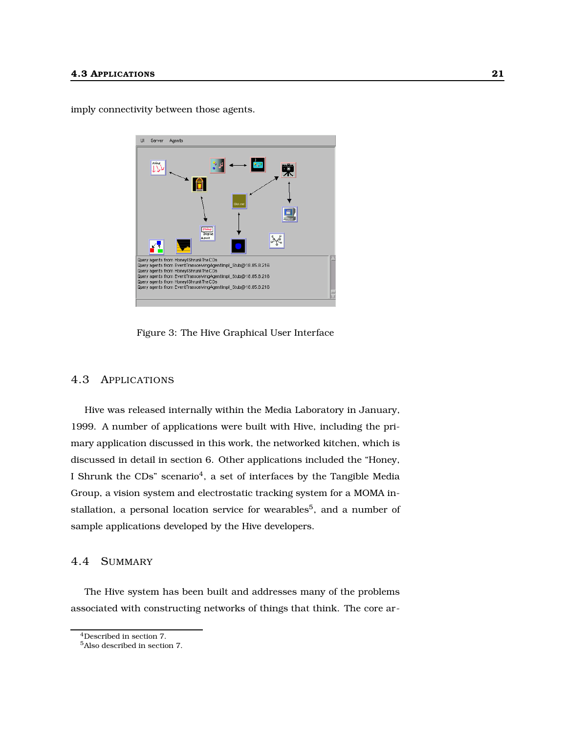imply connectivity between those agents.



Figure 3: The Hive Graphical User Interface

## 4.3 APPLICATIONS

Hive was released internally within the Media Laboratory in January, 1999. A number of applications were built with Hive, including the primary application discussed in this work, the networked kitchen, which is discussed in detail in section 6. Other applications included the "Honey, I Shrunk the CDs" scenario $^4$ , a set of interfaces by the Tangible Media Group, a vision system and electrostatic tracking system for a MOMA installation, a personal location service for wearables<sup>5</sup>, and a number of sample applications developed by the Hive developers.

### 4.4 SUMMARY

The Hive system has been built and addresses many of the problems associated with constructing networks of things that think. The core ar-

<sup>4</sup>Described in section 7.

<sup>5</sup>Also described in section 7.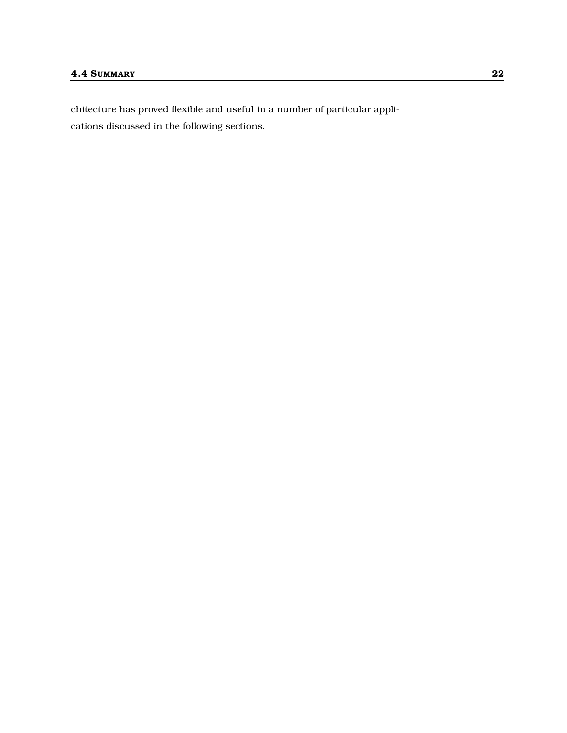chitecture has proved flexible and useful in a number of particular applications discussed in the following sections.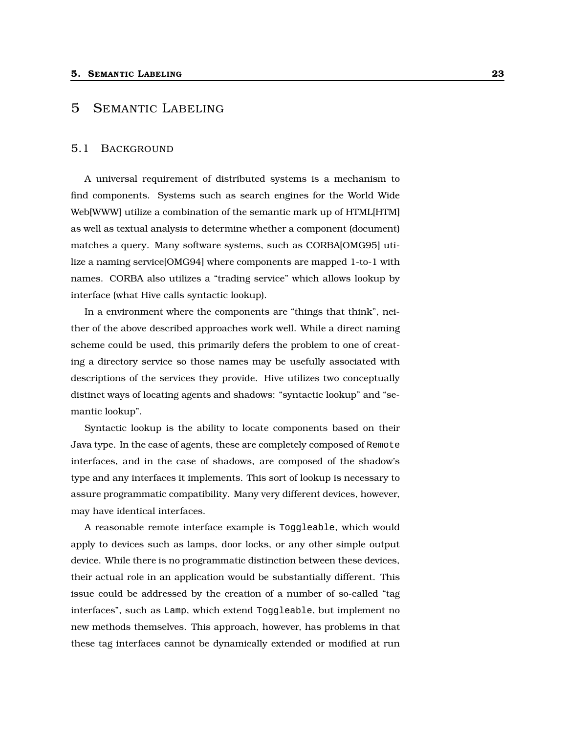## 5 SEMANTIC LABELING

### 5.1 BACKGROUND

A universal requirement of distributed systems is a mechanism to find components. Systems such as search engines for the World Wide Web[WWW] utilize a combination of the semantic mark up of HTML[HTM] as well as textual analysis to determine whether a component (document) matches a query. Many software systems, such as CORBA[OMG95] utilize a naming service[OMG94] where components are mapped 1-to-1 with names. CORBA also utilizes a "trading service" which allows lookup by interface (what Hive calls syntactic lookup).

In a environment where the components are "things that think", neither of the above described approaches work well. While a direct naming scheme could be used, this primarily defers the problem to one of creating a directory service so those names may be usefully associated with descriptions of the services they provide. Hive utilizes two conceptually distinct ways of locating agents and shadows: "syntactic lookup" and "semantic lookup".

Syntactic lookup is the ability to locate components based on their Java type. In the case of agents, these are completely composed of Remote interfaces, and in the case of shadows, are composed of the shadow's type and any interfaces it implements. This sort of lookup is necessary to assure programmatic compatibility. Many very different devices, however, may have identical interfaces.

A reasonable remote interface example is Toggleable, which would apply to devices such as lamps, door locks, or any other simple output device. While there is no programmatic distinction between these devices, their actual role in an application would be substantially different. This issue could be addressed by the creation of a number of so-called "tag interfaces", such as Lamp, which extend Toggleable, but implement no new methods themselves. This approach, however, has problems in that these tag interfaces cannot be dynamically extended or modified at run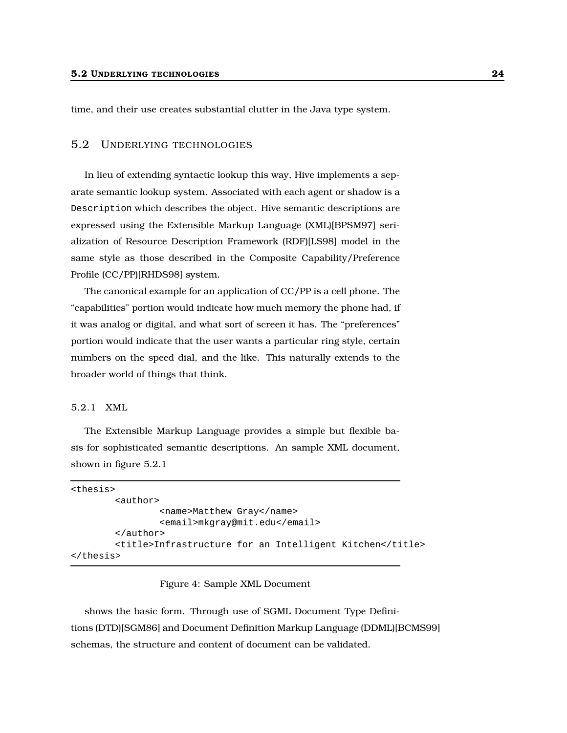time, and their use creates substantial clutter in the Java type system.

### 5.2 UNDERLYING TECHNOLOGIES

In lieu of extending syntactic lookup this way, Hive implements a separate semantic lookup system. Associated with each agent or shadow is a Description which describes the object. Hive semantic descriptions are expressed using the Extensible Markup Language (XML)[BPSM97] serialization of Resource Description Framework (RDF)[LS98] model in the same style as those described in the Composite Capability/Preference Profile (CC/PP)[RHDS98] system.

The canonical example for an application of CC/PP is a cell phone. The "capabilities" portion would indicate how much memory the phone had, if it was analog or digital, and what sort of screen it has. The "preferences" portion would indicate that the user wants a particular ring style, certain numbers on the speed dial, and the like. This naturally extends to the broader world of things that think.

### 5.2.1 XML

The Extensible Markup Language provides a simple but flexible basis for sophisticated semantic descriptions. An sample XML document, shown in figure 5.2.1

```
<thesis>
        <author>
                <name>Matthew Gray</name>
                <email>mkgray@mit.edu</email>
        </author>
        <title>Infrastructure for an Intelligent Kitchen</title>
</thesis>
```
### Figure 4: Sample XML Document

shows the basic form. Through use of SGML Document Type Definitions (DTD)[SGM86] and Document Definition Markup Language (DDML)[BCMS99] schemas, the structure and content of document can be validated.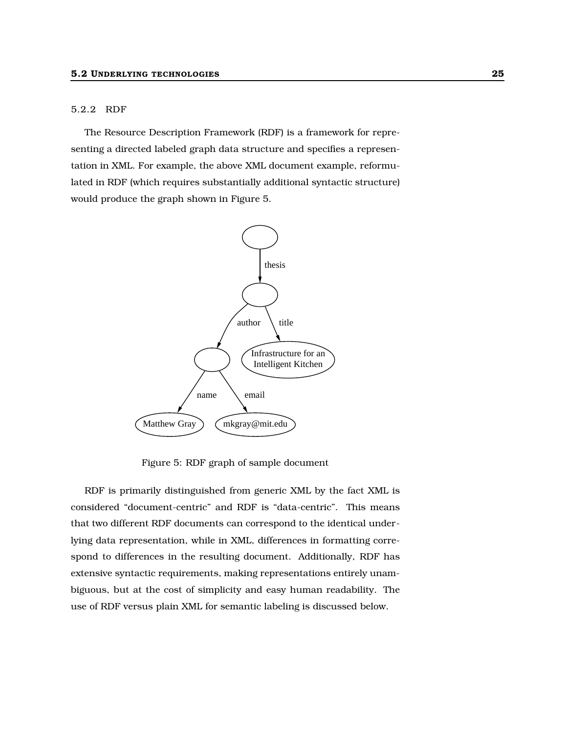### 5.2.2 RDF

The Resource Description Framework (RDF) is a framework for representing a directed labeled graph data structure and specifies a representation in XML. For example, the above XML document example, reformulated in RDF (which requires substantially additional syntactic structure) would produce the graph shown in Figure 5.



Figure 5: RDF graph of sample document

RDF is primarily distinguished from generic XML by the fact XML is considered "document-centric" and RDF is "data-centric". This means that two different RDF documents can correspond to the identical underlying data representation, while in XML, differences in formatting correspond to differences in the resulting document. Additionally, RDF has extensive syntactic requirements, making representations entirely unambiguous, but at the cost of simplicity and easy human readability. The use of RDF versus plain XML for semantic labeling is discussed below.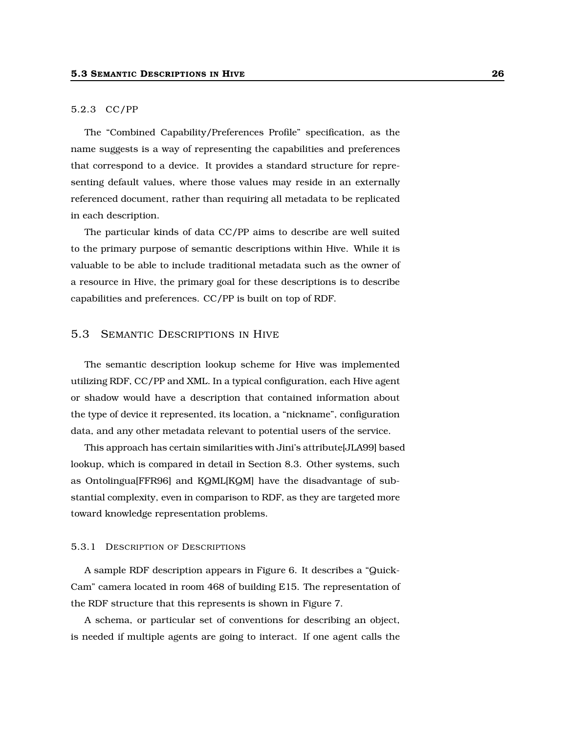### 5.2.3 CC/PP

The "Combined Capability/Preferences Profile" specification, as the name suggests is a way of representing the capabilities and preferences that correspond to a device. It provides a standard structure for representing default values, where those values may reside in an externally referenced document, rather than requiring all metadata to be replicated in each description.

The particular kinds of data CC/PP aims to describe are well suited to the primary purpose of semantic descriptions within Hive. While it is valuable to be able to include traditional metadata such as the owner of a resource in Hive, the primary goal for these descriptions is to describe capabilities and preferences. CC/PP is built on top of RDF.

### 5.3 SEMANTIC DESCRIPTIONS IN HIVE

The semantic description lookup scheme for Hive was implemented utilizing RDF, CC/PP and XML. In a typical configuration, each Hive agent or shadow would have a description that contained information about the type of device it represented, its location, a "nickname", configuration data, and any other metadata relevant to potential users of the service.

This approach has certain similarities with Jini's attribute[JLA99] based lookup, which is compared in detail in Section 8.3. Other systems, such as Ontolingua[FFR96] and KQML[KQM] have the disadvantage of substantial complexity, even in comparison to RDF, as they are targeted more toward knowledge representation problems.

#### 5.3.1 DESCRIPTION OF DESCRIPTIONS

A sample RDF description appears in Figure 6. It describes a "Quick-Cam" camera located in room 468 of building E15. The representation of the RDF structure that this represents is shown in Figure 7.

A schema, or particular set of conventions for describing an object, is needed if multiple agents are going to interact. If one agent calls the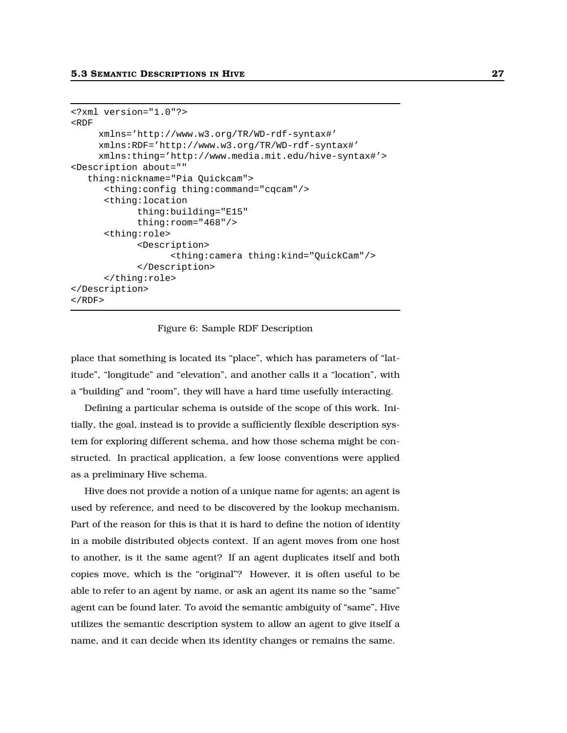```
<?xml version="1.0"?>
<RDF
    xmlns='http://www.w3.org/TR/WD-rdf-syntax#'
     xmlns:RDF='http://www.w3.org/TR/WD-rdf-syntax#'
     xmlns:thing='http://www.media.mit.edu/hive-syntax#'>
<Description about=""
  thing:nickname="Pia Quickcam">
      <thing:config thing:command="cqcam"/>
      <thing:location
            thing:building="E15"
            thing:room="468"/>
      <thing:role>
            <Description>
                  <thing:camera thing:kind="QuickCam"/>
            </Description>
      </thing:role>
</Description>
</RDF>
```
#### Figure 6: Sample RDF Description

place that something is located its "place", which has parameters of "latitude", "longitude" and "elevation", and another calls it a "location", with a "building" and "room", they will have a hard time usefully interacting.

Defining a particular schema is outside of the scope of this work. Initially, the goal, instead is to provide a sufficiently flexible description system for exploring different schema, and how those schema might be constructed. In practical application, a few loose conventions were applied as a preliminary Hive schema.

Hive does not provide a notion of a unique name for agents; an agent is used by reference, and need to be discovered by the lookup mechanism. Part of the reason for this is that it is hard to define the notion of identity in a mobile distributed objects context. If an agent moves from one host to another, is it the same agent? If an agent duplicates itself and both copies move, which is the "original"? However, it is often useful to be able to refer to an agent by name, or ask an agent its name so the "same" agent can be found later. To avoid the semantic ambiguity of "same", Hive utilizes the semantic description system to allow an agent to give itself a name, and it can decide when its identity changes or remains the same.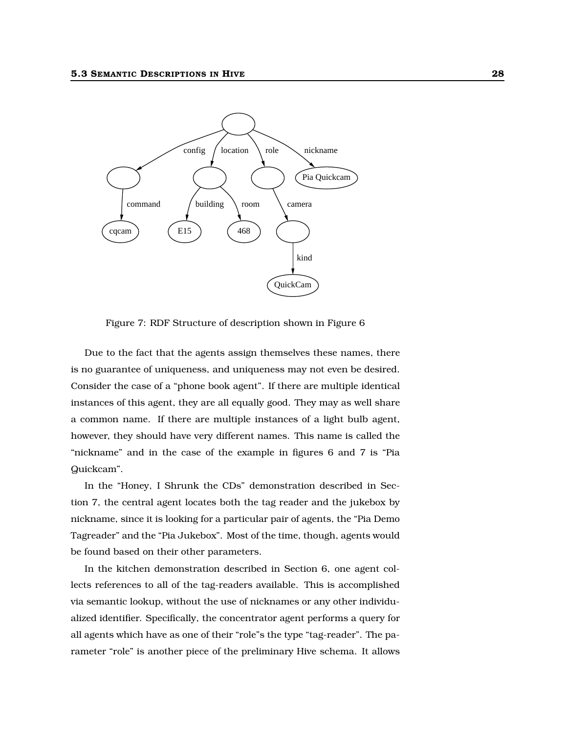

Figure 7: RDF Structure of description shown in Figure 6

Due to the fact that the agents assign themselves these names, there is no guarantee of uniqueness, and uniqueness may not even be desired. Consider the case of a "phone book agent". If there are multiple identical instances of this agent, they are all equally good. They may as well share a common name. If there are multiple instances of a light bulb agent, however, they should have very different names. This name is called the "nickname" and in the case of the example in figures 6 and 7 is "Pia Quickcam".

In the "Honey, I Shrunk the CDs" demonstration described in Section 7, the central agent locates both the tag reader and the jukebox by nickname, since it is looking for a particular pair of agents, the "Pia Demo Tagreader" and the "Pia Jukebox". Most of the time, though, agents would be found based on their other parameters.

In the kitchen demonstration described in Section 6, one agent collects references to all of the tag-readers available. This is accomplished via semantic lookup, without the use of nicknames or any other individualized identifier. Specifically, the concentrator agent performs a query for all agents which have as one of their "role"s the type "tag-reader". The parameter "role" is another piece of the preliminary Hive schema. It allows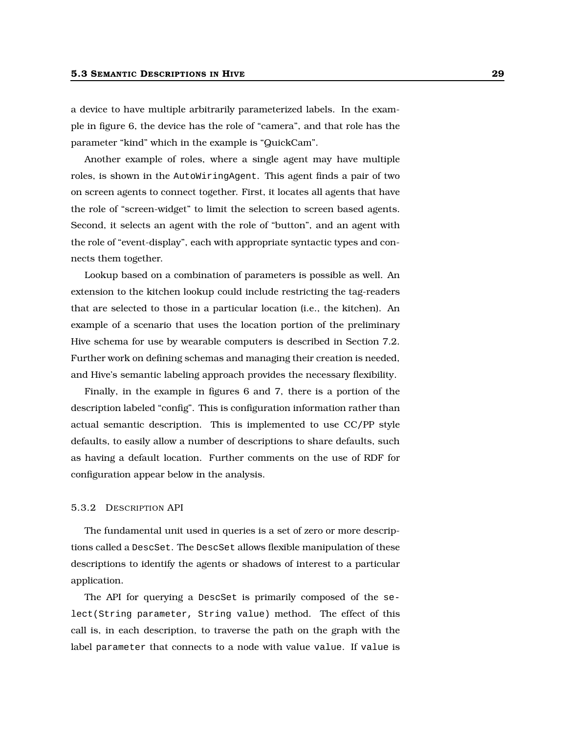a device to have multiple arbitrarily parameterized labels. In the example in figure 6, the device has the role of "camera", and that role has the parameter "kind" which in the example is "QuickCam".

Another example of roles, where a single agent may have multiple roles, is shown in the AutoWiringAgent. This agent finds a pair of two on screen agents to connect together. First, it locates all agents that have the role of "screen-widget" to limit the selection to screen based agents. Second, it selects an agent with the role of "button", and an agent with the role of "event-display", each with appropriate syntactic types and connects them together.

Lookup based on a combination of parameters is possible as well. An extension to the kitchen lookup could include restricting the tag-readers that are selected to those in a particular location (i.e., the kitchen). An example of a scenario that uses the location portion of the preliminary Hive schema for use by wearable computers is described in Section 7.2. Further work on defining schemas and managing their creation is needed, and Hive's semantic labeling approach provides the necessary flexibility.

Finally, in the example in figures 6 and 7, there is a portion of the description labeled "config". This is configuration information rather than actual semantic description. This is implemented to use CC/PP style defaults, to easily allow a number of descriptions to share defaults, such as having a default location. Further comments on the use of RDF for configuration appear below in the analysis.

#### 5.3.2 DESCRIPTION API

The fundamental unit used in queries is a set of zero or more descriptions called a DescSet. The DescSet allows flexible manipulation of these descriptions to identify the agents or shadows of interest to a particular application.

The API for querying a DescSet is primarily composed of the select(String parameter, String value) method. The effect of this call is, in each description, to traverse the path on the graph with the label parameter that connects to a node with value value. If value is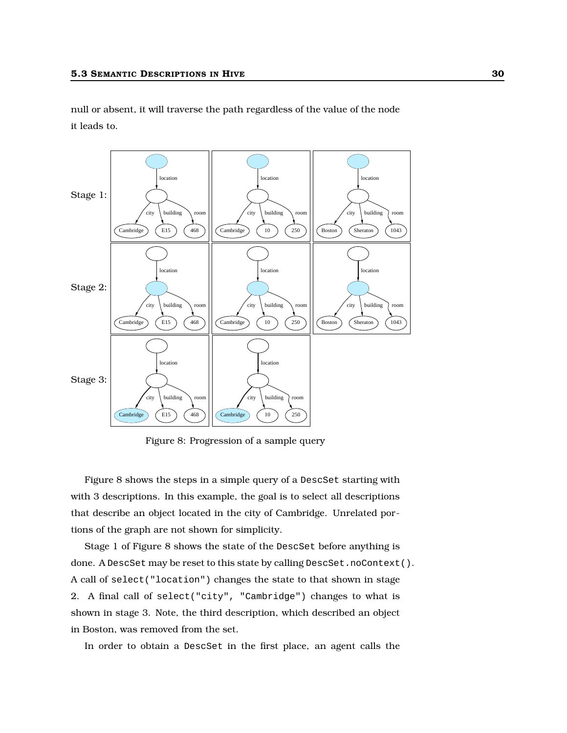null or absent, it will traverse the path regardless of the value of the node it leads to.



Figure 8: Progression of a sample query

Figure 8 shows the steps in a simple query of a DescSet starting with with 3 descriptions. In this example, the goal is to select all descriptions that describe an object located in the city of Cambridge. Unrelated portions of the graph are not shown for simplicity.

Stage 1 of Figure 8 shows the state of the DescSet before anything is done. A DescSet may be reset to this state by calling DescSet.noContext(). A call of select("location") changes the state to that shown in stage 2. A final call of select("city", "Cambridge") changes to what is shown in stage 3. Note, the third description, which described an object in Boston, was removed from the set.

In order to obtain a DescSet in the first place, an agent calls the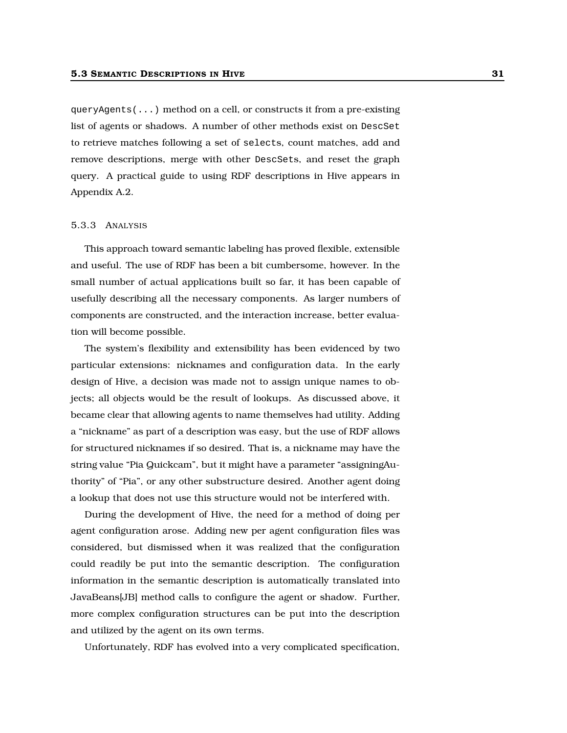queryAgents(...) method on a cell, or constructs it from a pre-existing list of agents or shadows. A number of other methods exist on DescSet to retrieve matches following a set of selects, count matches, add and remove descriptions, merge with other DescSets, and reset the graph query. A practical guide to using RDF descriptions in Hive appears in Appendix A.2.

### 5.3.3 ANALYSIS

This approach toward semantic labeling has proved flexible, extensible and useful. The use of RDF has been a bit cumbersome, however. In the small number of actual applications built so far, it has been capable of usefully describing all the necessary components. As larger numbers of components are constructed, and the interaction increase, better evaluation will become possible.

The system's flexibility and extensibility has been evidenced by two particular extensions: nicknames and configuration data. In the early design of Hive, a decision was made not to assign unique names to objects; all objects would be the result of lookups. As discussed above, it became clear that allowing agents to name themselves had utility. Adding a "nickname" as part of a description was easy, but the use of RDF allows for structured nicknames if so desired. That is, a nickname may have the string value "Pia Quickcam", but it might have a parameter "assigningAuthority" of "Pia", or any other substructure desired. Another agent doing a lookup that does not use this structure would not be interfered with.

During the development of Hive, the need for a method of doing per agent configuration arose. Adding new per agent configuration files was considered, but dismissed when it was realized that the configuration could readily be put into the semantic description. The configuration information in the semantic description is automatically translated into JavaBeans[JB] method calls to configure the agent or shadow. Further, more complex configuration structures can be put into the description and utilized by the agent on its own terms.

Unfortunately, RDF has evolved into a very complicated specification,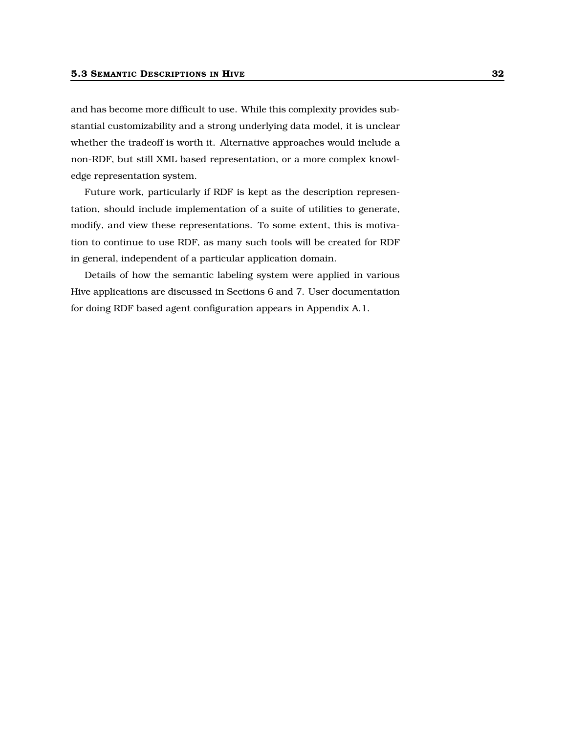and has become more difficult to use. While this complexity provides substantial customizability and a strong underlying data model, it is unclear whether the tradeoff is worth it. Alternative approaches would include a non-RDF, but still XML based representation, or a more complex knowledge representation system.

Future work, particularly if RDF is kept as the description representation, should include implementation of a suite of utilities to generate, modify, and view these representations. To some extent, this is motivation to continue to use RDF, as many such tools will be created for RDF in general, independent of a particular application domain.

Details of how the semantic labeling system were applied in various Hive applications are discussed in Sections 6 and 7. User documentation for doing RDF based agent configuration appears in Appendix A.1.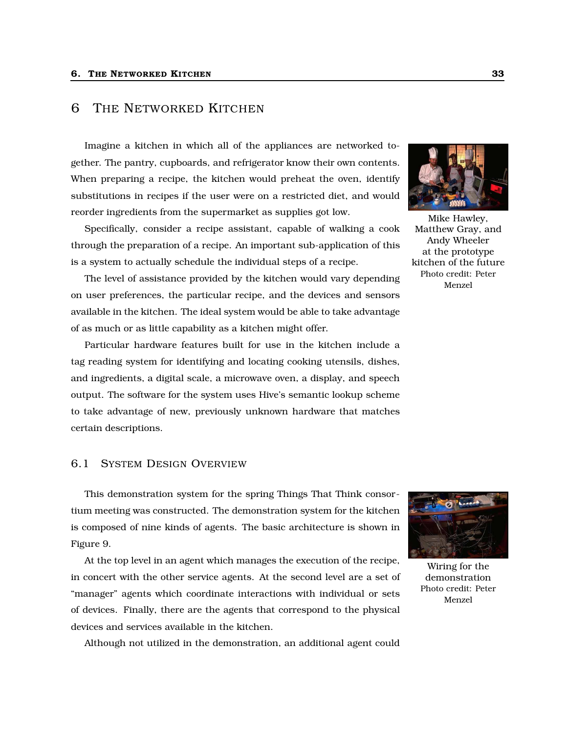## 6 THE NETWORKED KITCHEN

Imagine a kitchen in which all of the appliances are networked together. The pantry, cupboards, and refrigerator know their own contents. When preparing a recipe, the kitchen would preheat the oven, identify substitutions in recipes if the user were on a restricted diet, and would reorder ingredients from the supermarket as supplies got low. Mike Hawley,

Specifically, consider a recipe assistant, capable of walking a cook through the preparation of a recipe. An important sub-application of this is a system to actually schedule the individual steps of a recipe.

The level of assistance provided by the kitchen would vary depending on user preferences, the particular recipe, and the devices and sensors available in the kitchen. The ideal system would be able to take advantage of as much or as little capability as a kitchen might offer.

Particular hardware features built for use in the kitchen include a tag reading system for identifying and locating cooking utensils, dishes, and ingredients, a digital scale, a microwave oven, a display, and speech output. The software for the system uses Hive's semantic lookup scheme to take advantage of new, previously unknown hardware that matches certain descriptions.

## 6.1 SYSTEM DESIGN OVERVIEW

This demonstration system for the spring Things That Think consortium meeting was constructed. The demonstration system for the kitchen is composed of nine kinds of agents. The basic architecture is shown in Figure 9.

At the top level in an agent which manages the execution of the recipe, in concert with the other service agents. At the second level are a set of "manager" agents which coordinate interactions with individual or sets of devices. Finally, there are the agents that correspond to the physical devices and services available in the kitchen.

Although not utilized in the demonstration, an additional agent could



Matthew Gray, and Andy Wheeler at the prototype kitchen of the future Photo credit: Peter Menzel



Wiring for the demonstration Photo credit: Peter Menzel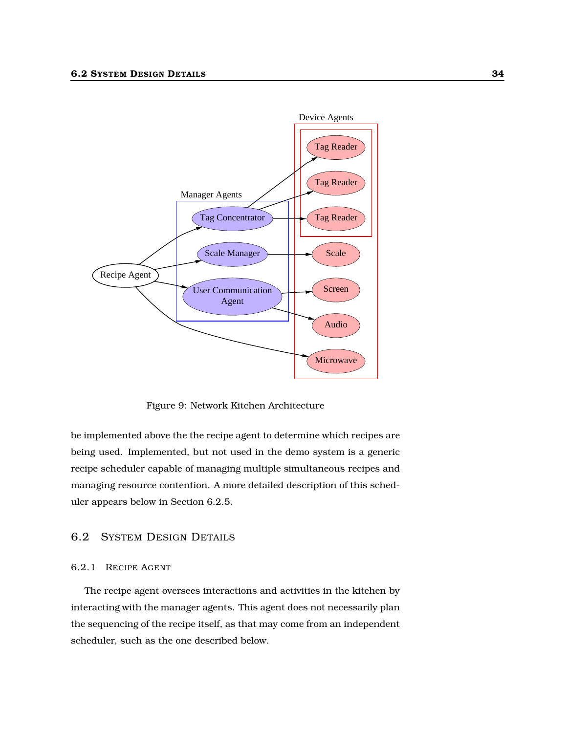

Figure 9: Network Kitchen Architecture

be implemented above the the recipe agent to determine which recipes are being used. Implemented, but not used in the demo system is a generic recipe scheduler capable of managing multiple simultaneous recipes and managing resource contention. A more detailed description of this scheduler appears below in Section 6.2.5.

## 6.2 SYSTEM DESIGN DETAILS

### 6.2.1 RECIPE AGENT

The recipe agent oversees interactions and activities in the kitchen by interacting with the manager agents. This agent does not necessarily plan the sequencing of the recipe itself, as that may come from an independent scheduler, such as the one described below.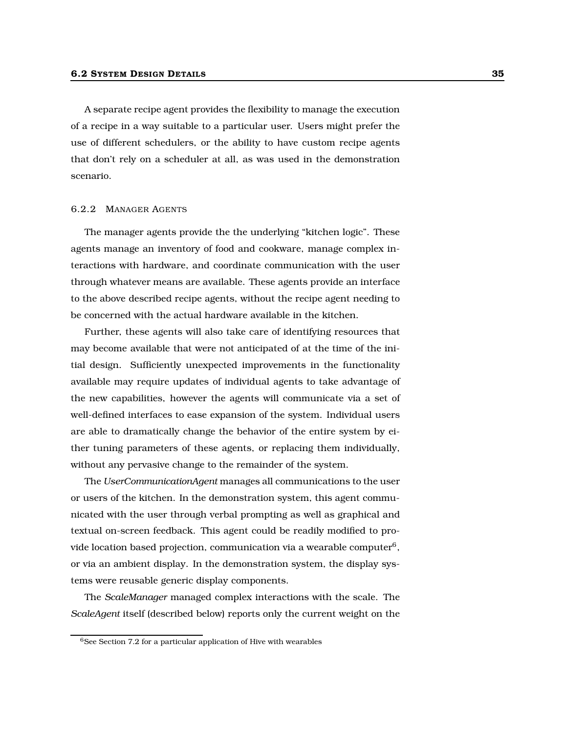A separate recipe agent provides the flexibility to manage the execution of a recipe in a way suitable to a particular user. Users might prefer the use of different schedulers, or the ability to have custom recipe agents that don't rely on a scheduler at all, as was used in the demonstration scenario.

### 6.2.2 MANAGER AGENTS

The manager agents provide the the underlying "kitchen logic". These agents manage an inventory of food and cookware, manage complex interactions with hardware, and coordinate communication with the user through whatever means are available. These agents provide an interface to the above described recipe agents, without the recipe agent needing to be concerned with the actual hardware available in the kitchen.

Further, these agents will also take care of identifying resources that may become available that were not anticipated of at the time of the initial design. Sufficiently unexpected improvements in the functionality available may require updates of individual agents to take advantage of the new capabilities, however the agents will communicate via a set of well-defined interfaces to ease expansion of the system. Individual users are able to dramatically change the behavior of the entire system by either tuning parameters of these agents, or replacing them individually, without any pervasive change to the remainder of the system.

The *UserCommunicationAgent* manages all communications to the user or users of the kitchen. In the demonstration system, this agent communicated with the user through verbal prompting as well as graphical and textual on-screen feedback. This agent could be readily modified to provide location based projection, communication via a wearable computer $^6$ , or via an ambient display. In the demonstration system, the display systems were reusable generic display components.

The *ScaleManager* managed complex interactions with the scale. The *ScaleAgent* itself (described below) reports only the current weight on the

<sup>6</sup>See Section 7.2 for a particular application of Hive with wearables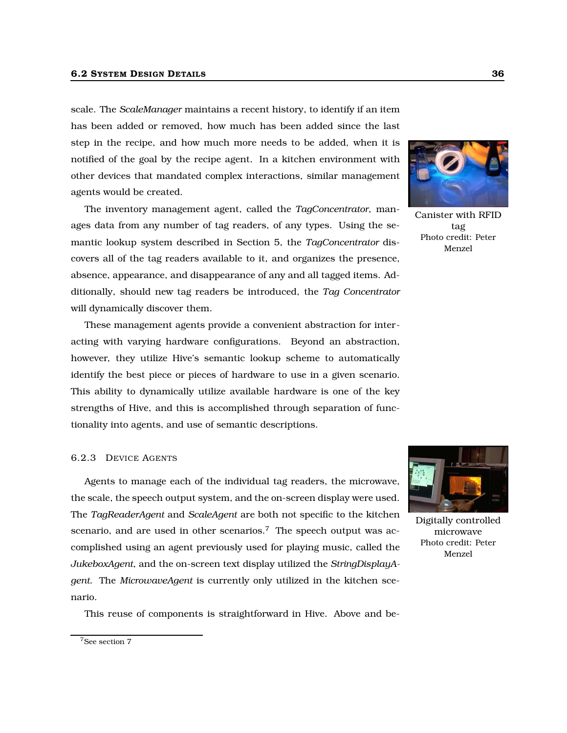scale. The *ScaleManager* maintains a recent history, to identify if an item has been added or removed, how much has been added since the last step in the recipe, and how much more needs to be added, when it is notified of the goal by the recipe agent. In a kitchen environment with other devices that mandated complex interactions, similar management agents would be created.

The inventory management agent, called the *TagConcentrator*, manages data from any number of tag readers, of any types. Using the semantic lookup system described in Section 5, the *TagConcentrator* discovers all of the tag readers available to it, and organizes the presence, absence, appearance, and disappearance of any and all tagged items. Additionally, should new tag readers be introduced, the *Tag Concentrator* will dynamically discover them.

These management agents provide a convenient abstraction for interacting with varying hardware configurations. Beyond an abstraction, however, they utilize Hive's semantic lookup scheme to automatically identify the best piece or pieces of hardware to use in a given scenario. This ability to dynamically utilize available hardware is one of the key strengths of Hive, and this is accomplished through separation of functionality into agents, and use of semantic descriptions.

### 6.2.3 DEVICE AGENTS

Agents to manage each of the individual tag readers, the microwave, the scale, the speech output system, and the on-screen display were used. The *TagReaderAgent* and *ScaleAgent* are both not specific to the kitchen scenario, and are used in other scenarios.<sup>7</sup> The speech output was accomplished using an agent previously used for playing music, called the *JukeboxAgent*, and the on-screen text display utilized the *StringDisplayAgent*. The *MicrowaveAgent* is currently only utilized in the kitchen scenario.

This reuse of components is straightforward in Hive. Above and be-



Canister with RFID tag Photo credit: Peter Menzel



Digitally controlled microwave Photo credit: Peter Menzel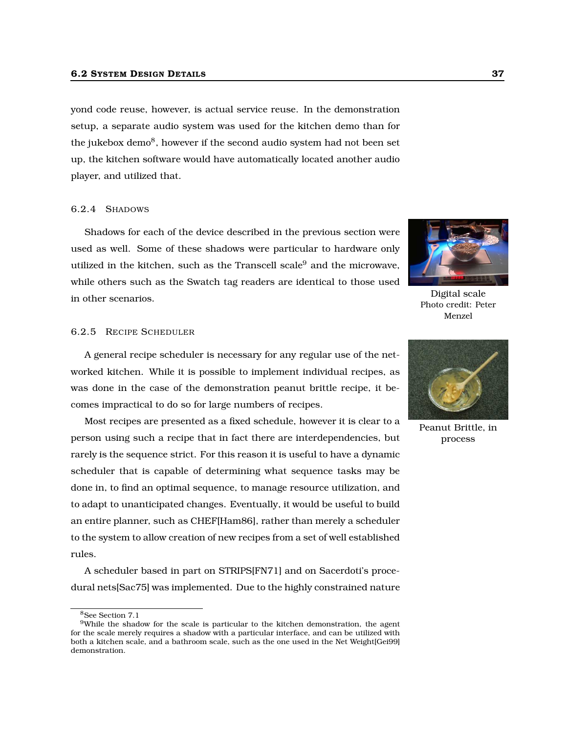yond code reuse, however, is actual service reuse. In the demonstration setup, a separate audio system was used for the kitchen demo than for the jukebox demo $^8$ , however if the second audio system had not been set up, the kitchen software would have automatically located another audio player, and utilized that.

### 6.2.4 SHADOWS

Shadows for each of the device described in the previous section were used as well. Some of these shadows were particular to hardware only utilized in the kitchen, such as the Transcell scale $9$  and the microwave, while others such as the Swatch tag readers are identical to those used in other scenarios.



Digital scale Photo credit: Peter Menzel

### 6.2.5 RECIPE SCHEDULER

A general recipe scheduler is necessary for any regular use of the networked kitchen. While it is possible to implement individual recipes, as was done in the case of the demonstration peanut brittle recipe, it becomes impractical to do so for large numbers of recipes.

Most recipes are presented as a fixed schedule, however it is clear to a person using such a recipe that in fact there are interdependencies, but rarely is the sequence strict. For this reason it is useful to have a dynamic scheduler that is capable of determining what sequence tasks may be done in, to find an optimal sequence, to manage resource utilization, and to adapt to unanticipated changes. Eventually, it would be useful to build an entire planner, such as CHEF[Ham86], rather than merely a scheduler to the system to allow creation of new recipes from a set of well established rules.

A scheduler based in part on STRIPS[FN71] and on Sacerdoti's procedural nets[Sac75] was implemented. Due to the highly constrained nature



Peanut Brittle, in process

<sup>8</sup>See Section 7.1

<sup>9</sup>While the shadow for the scale is particular to the kitchen demonstration, the agent for the scale merely requires a shadow with a particular interface, and can be utilized with both a kitchen scale, and a bathroom scale, such as the one used in the Net Weight[Gei99] demonstration.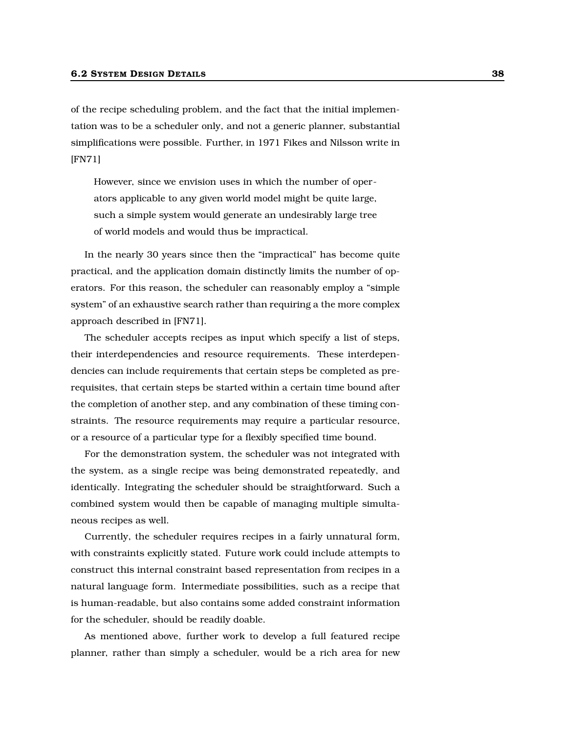of the recipe scheduling problem, and the fact that the initial implementation was to be a scheduler only, and not a generic planner, substantial simplifications were possible. Further, in 1971 Fikes and Nilsson write in [FN71]

However, since we envision uses in which the number of operators applicable to any given world model might be quite large, such a simple system would generate an undesirably large tree of world models and would thus be impractical.

In the nearly 30 years since then the "impractical" has become quite practical, and the application domain distinctly limits the number of operators. For this reason, the scheduler can reasonably employ a "simple system" of an exhaustive search rather than requiring a the more complex approach described in [FN71].

The scheduler accepts recipes as input which specify a list of steps, their interdependencies and resource requirements. These interdependencies can include requirements that certain steps be completed as prerequisites, that certain steps be started within a certain time bound after the completion of another step, and any combination of these timing constraints. The resource requirements may require a particular resource, or a resource of a particular type for a flexibly specified time bound.

For the demonstration system, the scheduler was not integrated with the system, as a single recipe was being demonstrated repeatedly, and identically. Integrating the scheduler should be straightforward. Such a combined system would then be capable of managing multiple simultaneous recipes as well.

Currently, the scheduler requires recipes in a fairly unnatural form, with constraints explicitly stated. Future work could include attempts to construct this internal constraint based representation from recipes in a natural language form. Intermediate possibilities, such as a recipe that is human-readable, but also contains some added constraint information for the scheduler, should be readily doable.

As mentioned above, further work to develop a full featured recipe planner, rather than simply a scheduler, would be a rich area for new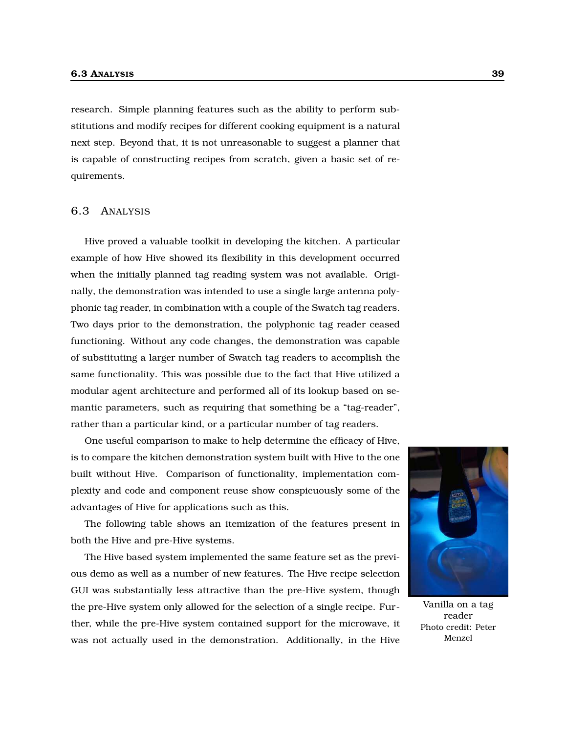research. Simple planning features such as the ability to perform substitutions and modify recipes for different cooking equipment is a natural next step. Beyond that, it is not unreasonable to suggest a planner that is capable of constructing recipes from scratch, given a basic set of requirements.

### 6.3 ANALYSIS

Hive proved a valuable toolkit in developing the kitchen. A particular example of how Hive showed its flexibility in this development occurred when the initially planned tag reading system was not available. Originally, the demonstration was intended to use a single large antenna polyphonic tag reader, in combination with a couple of the Swatch tag readers. Two days prior to the demonstration, the polyphonic tag reader ceased functioning. Without any code changes, the demonstration was capable of substituting a larger number of Swatch tag readers to accomplish the same functionality. This was possible due to the fact that Hive utilized a modular agent architecture and performed all of its lookup based on semantic parameters, such as requiring that something be a "tag-reader", rather than a particular kind, or a particular number of tag readers.

One useful comparison to make to help determine the efficacy of Hive, is to compare the kitchen demonstration system built with Hive to the one built without Hive. Comparison of functionality, implementation complexity and code and component reuse show conspicuously some of the advantages of Hive for applications such as this.

The following table shows an itemization of the features present in both the Hive and pre-Hive systems.

The Hive based system implemented the same feature set as the previous demo as well as a number of new features. The Hive recipe selection GUI was substantially less attractive than the pre-Hive system, though the pre-Hive system only allowed for the selection of a single recipe. Further, while the pre-Hive system contained support for the microwave, it was not actually used in the demonstration. Additionally, in the Hive



Vanilla on a tag reader Photo credit: Peter Menzel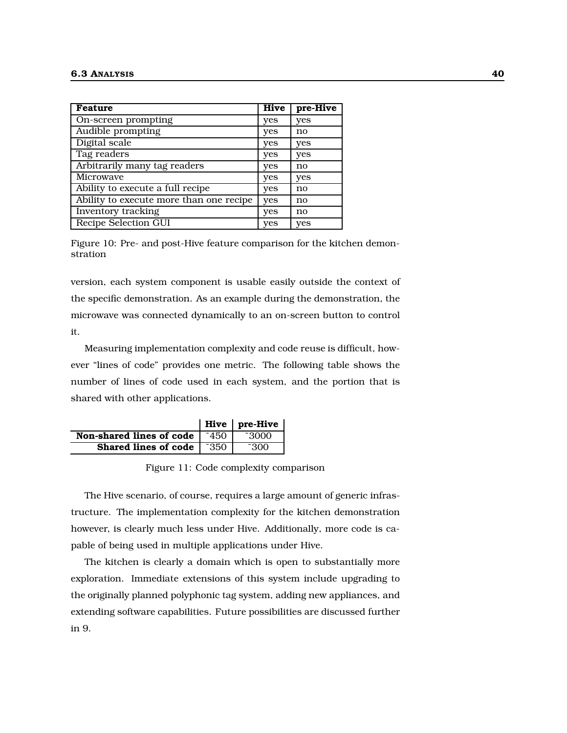| <b>Feature</b>                          | Hive | pre-Hive |
|-----------------------------------------|------|----------|
| On-screen prompting                     | yes  | yes      |
| Audible prompting                       | yes  | no       |
| Digital scale                           | yes  | yes      |
| Tag readers                             | yes  | yes      |
| Arbitrarily many tag readers            | yes  | no       |
| Microwave                               | yes  | yes      |
| Ability to execute a full recipe        | yes  | no       |
| Ability to execute more than one recipe | yes  | no       |
| Inventory tracking                      | yes  | no       |
| Recipe Selection GUI                    | ves  | yes      |

Figure 10: Pre- and post-Hive feature comparison for the kitchen demonstration

version, each system component is usable easily outside the context of the specific demonstration. As an example during the demonstration, the microwave was connected dynamically to an on-screen button to control it.

Measuring implementation complexity and code reuse is difficult, however "lines of code" provides one metric. The following table shows the number of lines of code used in each system, and the portion that is shared with other applications.

|                                        |               | Hive pre-Hive  |
|----------------------------------------|---------------|----------------|
| Non-shared lines of code $\vert$ $450$ |               | $3000^{\circ}$ |
| <b>Shared lines of code</b>            | $350^{\circ}$ | -300           |

Figure 11: Code complexity comparison

The Hive scenario, of course, requires a large amount of generic infrastructure. The implementation complexity for the kitchen demonstration however, is clearly much less under Hive. Additionally, more code is capable of being used in multiple applications under Hive.

The kitchen is clearly a domain which is open to substantially more exploration. Immediate extensions of this system include upgrading to the originally planned polyphonic tag system, adding new appliances, and extending software capabilities. Future possibilities are discussed further in 9.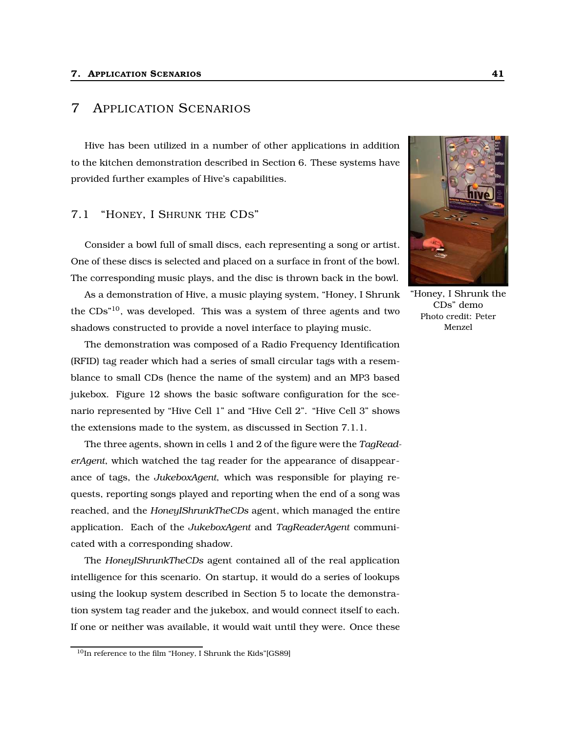## 7 APPLICATION SCENARIOS

Hive has been utilized in a number of other applications in addition to the kitchen demonstration described in Section 6. These systems have provided further examples of Hive's capabilities.

## 7.1 "HONEY, I SHRUNK THE CDS"

Consider a bowl full of small discs, each representing a song or artist. One of these discs is selected and placed on a surface in front of the bowl. The corresponding music plays, and the disc is thrown back in the bowl.

As a demonstration of Hive, a music playing system, "Honey, I Shrunk the CDs"<sup>10</sup>, was developed. This was a system of three agents and two shadows constructed to provide a novel interface to playing music.

The demonstration was composed of a Radio Frequency Identification (RFID) tag reader which had a series of small circular tags with a resemblance to small CDs (hence the name of the system) and an MP3 based jukebox. Figure 12 shows the basic software configuration for the scenario represented by "Hive Cell 1" and "Hive Cell 2". "Hive Cell 3" shows the extensions made to the system, as discussed in Section 7.1.1.

The three agents, shown in cells 1 and 2 of the figure were the *TagReaderAgent*, which watched the tag reader for the appearance of disappearance of tags, the *JukeboxAgent*, which was responsible for playing requests, reporting songs played and reporting when the end of a song was reached, and the *HoneyIShrunkTheCDs* agent, which managed the entire application. Each of the *JukeboxAgent* and *TagReaderAgent* communicated with a corresponding shadow.

The *HoneyIShrunkTheCDs* agent contained all of the real application intelligence for this scenario. On startup, it would do a series of lookups using the lookup system described in Section 5 to locate the demonstration system tag reader and the jukebox, and would connect itself to each. If one or neither was available, it would wait until they were. Once these



"Honey, I Shrunk the CDs" demo Photo credit: Peter Menzel

<sup>&</sup>lt;sup>10</sup>In reference to the film "Honey, I Shrunk the Kids"[GS89]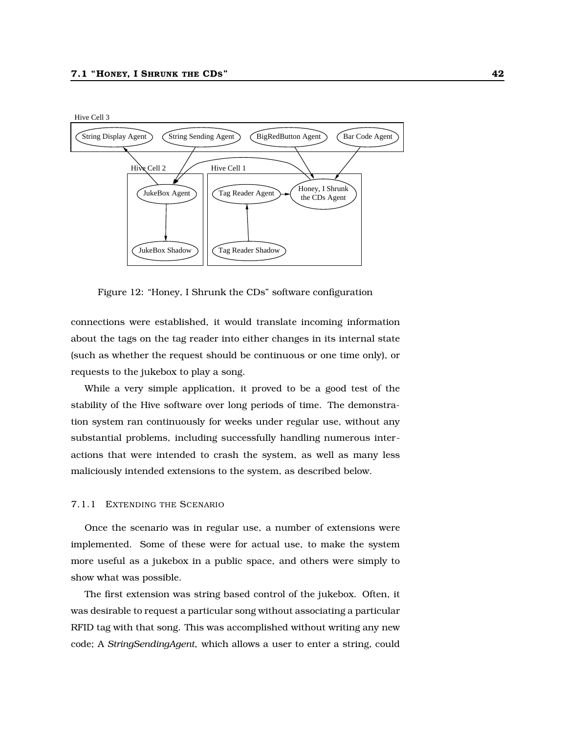

Figure 12: "Honey, I Shrunk the CDs" software configuration

connections were established, it would translate incoming information about the tags on the tag reader into either changes in its internal state (such as whether the request should be continuous or one time only), or requests to the jukebox to play a song.

While a very simple application, it proved to be a good test of the stability of the Hive software over long periods of time. The demonstration system ran continuously for weeks under regular use, without any substantial problems, including successfully handling numerous interactions that were intended to crash the system, as well as many less maliciously intended extensions to the system, as described below.

### 7.1.1 EXTENDING THE SCENARIO

Once the scenario was in regular use, a number of extensions were implemented. Some of these were for actual use, to make the system more useful as a jukebox in a public space, and others were simply to show what was possible.

The first extension was string based control of the jukebox. Often, it was desirable to request a particular song without associating a particular RFID tag with that song. This was accomplished without writing any new code; A *StringSendingAgent*, which allows a user to enter a string, could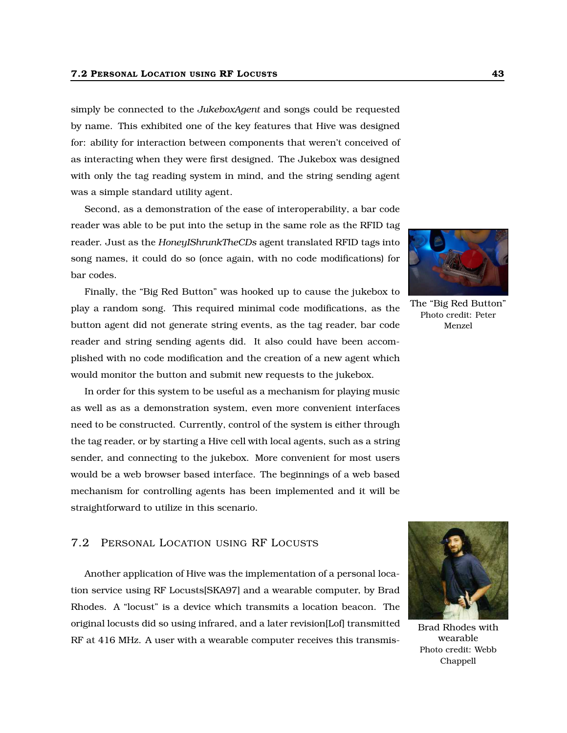simply be connected to the *JukeboxAgent* and songs could be requested by name. This exhibited one of the key features that Hive was designed for: ability for interaction between components that weren't conceived of as interacting when they were first designed. The Jukebox was designed with only the tag reading system in mind, and the string sending agent was a simple standard utility agent.

Second, as a demonstration of the ease of interoperability, a bar code reader was able to be put into the setup in the same role as the RFID tag reader. Just as the *HoneyIShrunkTheCDs* agent translated RFID tags into song names, it could do so (once again, with no code modifications) for bar codes.

Finally, the "Big Red Button" was hooked up to cause the jukebox to play a random song. This required minimal code modifications, as the button agent did not generate string events, as the tag reader, bar code reader and string sending agents did. It also could have been accomplished with no code modification and the creation of a new agent which would monitor the button and submit new requests to the jukebox.

In order for this system to be useful as a mechanism for playing music as well as as a demonstration system, even more convenient interfaces need to be constructed. Currently, control of the system is either through the tag reader, or by starting a Hive cell with local agents, such as a string sender, and connecting to the jukebox. More convenient for most users would be a web browser based interface. The beginnings of a web based mechanism for controlling agents has been implemented and it will be straightforward to utilize in this scenario.

## 7.2 PERSONAL LOCATION USING RF LOCUSTS

Another application of Hive was the implementation of a personal location service using RF Locusts[SKA97] and a wearable computer, by Brad Rhodes. A "locust" is a device which transmits a location beacon. The original locusts did so using infrared, and a later revision[Lof] transmitted RF at 416 MHz. A user with a wearable computer receives this transmis-

The "Big Red Button" Photo credit: Peter Menzel



Brad Rhodes with wearable Photo credit: Webb Chappell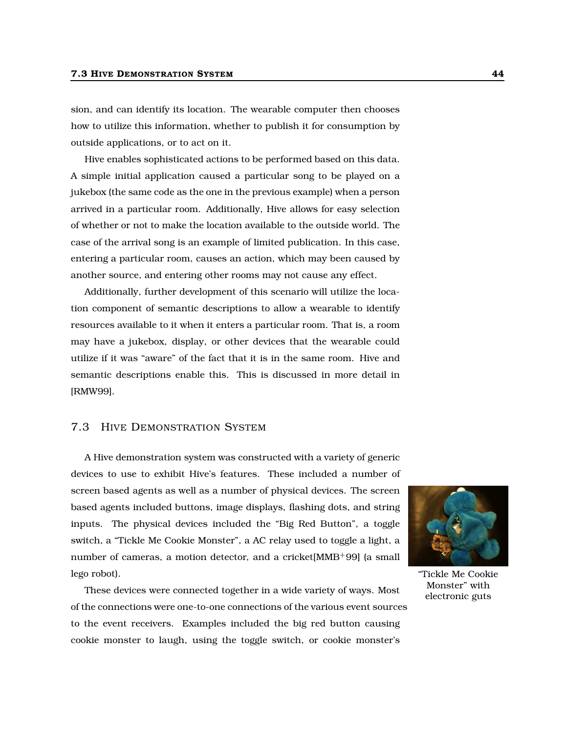sion, and can identify its location. The wearable computer then chooses how to utilize this information, whether to publish it for consumption by outside applications, or to act on it.

Hive enables sophisticated actions to be performed based on this data. A simple initial application caused a particular song to be played on a jukebox (the same code as the one in the previous example) when a person arrived in a particular room. Additionally, Hive allows for easy selection of whether or not to make the location available to the outside world. The case of the arrival song is an example of limited publication. In this case, entering a particular room, causes an action, which may been caused by another source, and entering other rooms may not cause any effect.

Additionally, further development of this scenario will utilize the location component of semantic descriptions to allow a wearable to identify resources available to it when it enters a particular room. That is, a room may have a jukebox, display, or other devices that the wearable could utilize if it was "aware" of the fact that it is in the same room. Hive and semantic descriptions enable this. This is discussed in more detail in [RMW99].

## 7.3 HIVE DEMONSTRATION SYSTEM

A Hive demonstration system was constructed with a variety of generic devices to use to exhibit Hive's features. These included a number of screen based agents as well as a number of physical devices. The screen based agents included buttons, image displays, flashing dots, and string inputs. The physical devices included the "Big Red Button", a toggle switch, a "Tickle Me Cookie Monster", a AC relay used to toggle a light, a number of cameras, a motion detector, and a cricket[MMB<sup>+</sup> 99] (a small lego robot).

These devices were connected together in a wide variety of ways. Most of the connections were one-to-one connections of the various event sources to the event receivers. Examples included the big red button causing cookie monster to laugh, using the toggle switch, or cookie monster's



"Tickle Me Cookie Monster" with electronic guts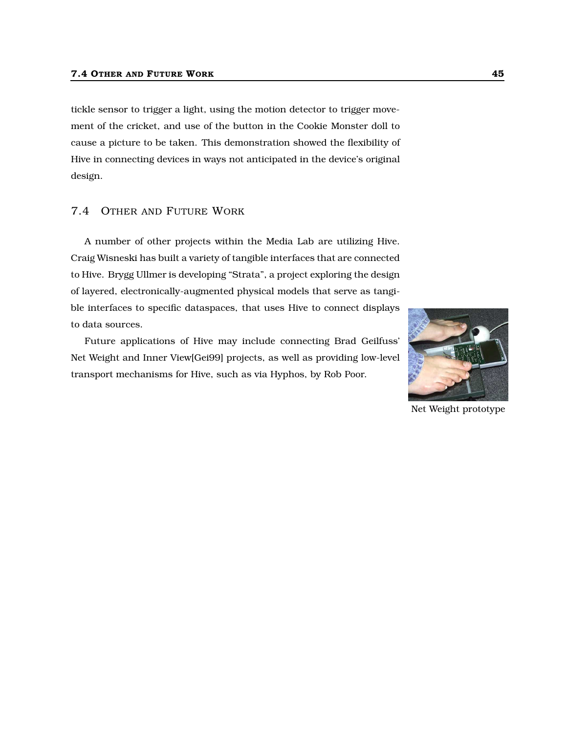tickle sensor to trigger a light, using the motion detector to trigger movement of the cricket, and use of the button in the Cookie Monster doll to cause a picture to be taken. This demonstration showed the flexibility of Hive in connecting devices in ways not anticipated in the device's original design.

## 7.4 OTHER AND FUTURE WORK

A number of other projects within the Media Lab are utilizing Hive. Craig Wisneski has built a variety of tangible interfaces that are connected to Hive. Brygg Ullmer is developing "Strata", a project exploring the design of layered, electronically-augmented physical models that serve as tangible interfaces to specific dataspaces, that uses Hive to connect displays to data sources.

Future applications of Hive may include connecting Brad Geilfuss' Net Weight and Inner View[Gei99] projects, as well as providing low-level transport mechanisms for Hive, such as via Hyphos, by Rob Poor.



Net Weight prototype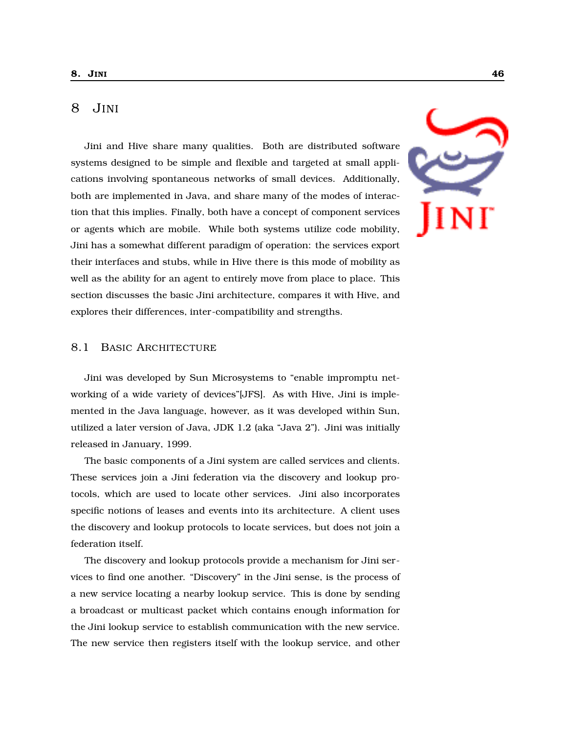## 8 JINI

Jini and Hive share many qualities. Both are distributed software systems designed to be simple and flexible and targeted at small applications involving spontaneous networks of small devices. Additionally, both are implemented in Java, and share many of the modes of interaction that this implies. Finally, both have a concept of component services or agents which are mobile. While both systems utilize code mobility, Jini has a somewhat different paradigm of operation: the services export their interfaces and stubs, while in Hive there is this mode of mobility as well as the ability for an agent to entirely move from place to place. This section discusses the basic Jini architecture, compares it with Hive, and explores their differences, inter-compatibility and strengths.



### 8.1 BASIC ARCHITECTURE

Jini was developed by Sun Microsystems to "enable impromptu networking of a wide variety of devices"[JFS]. As with Hive, Jini is implemented in the Java language, however, as it was developed within Sun, utilized a later version of Java, JDK 1.2 (aka "Java 2"). Jini was initially released in January, 1999.

The basic components of a Jini system are called services and clients. These services join a Jini federation via the discovery and lookup protocols, which are used to locate other services. Jini also incorporates specific notions of leases and events into its architecture. A client uses the discovery and lookup protocols to locate services, but does not join a federation itself.

The discovery and lookup protocols provide a mechanism for Jini services to find one another. "Discovery" in the Jini sense, is the process of a new service locating a nearby lookup service. This is done by sending a broadcast or multicast packet which contains enough information for the Jini lookup service to establish communication with the new service. The new service then registers itself with the lookup service, and other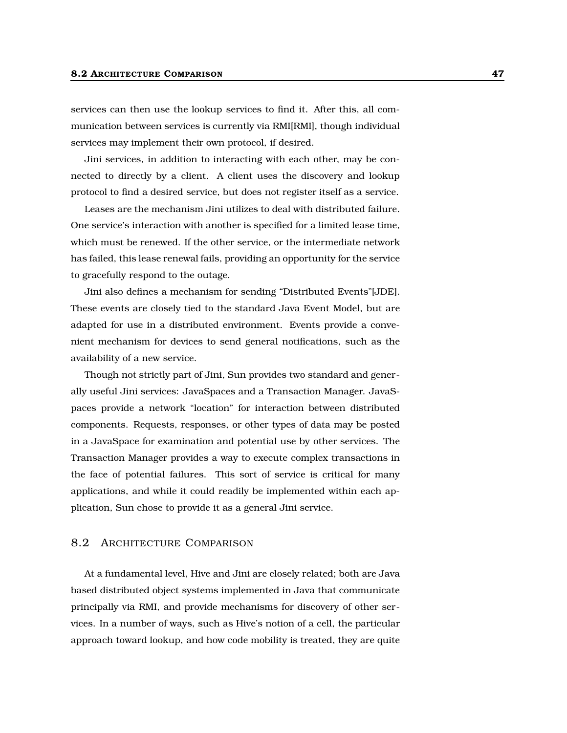services can then use the lookup services to find it. After this, all communication between services is currently via RMI[RMI], though individual services may implement their own protocol, if desired.

Jini services, in addition to interacting with each other, may be connected to directly by a client. A client uses the discovery and lookup protocol to find a desired service, but does not register itself as a service.

Leases are the mechanism Jini utilizes to deal with distributed failure. One service's interaction with another is specified for a limited lease time, which must be renewed. If the other service, or the intermediate network has failed, this lease renewal fails, providing an opportunity for the service to gracefully respond to the outage.

Jini also defines a mechanism for sending "Distributed Events"[JDE]. These events are closely tied to the standard Java Event Model, but are adapted for use in a distributed environment. Events provide a convenient mechanism for devices to send general notifications, such as the availability of a new service.

Though not strictly part of Jini, Sun provides two standard and generally useful Jini services: JavaSpaces and a Transaction Manager. JavaSpaces provide a network "location" for interaction between distributed components. Requests, responses, or other types of data may be posted in a JavaSpace for examination and potential use by other services. The Transaction Manager provides a way to execute complex transactions in the face of potential failures. This sort of service is critical for many applications, and while it could readily be implemented within each application, Sun chose to provide it as a general Jini service.

### 8.2 ARCHITECTURE COMPARISON

At a fundamental level, Hive and Jini are closely related; both are Java based distributed object systems implemented in Java that communicate principally via RMI, and provide mechanisms for discovery of other services. In a number of ways, such as Hive's notion of a cell, the particular approach toward lookup, and how code mobility is treated, they are quite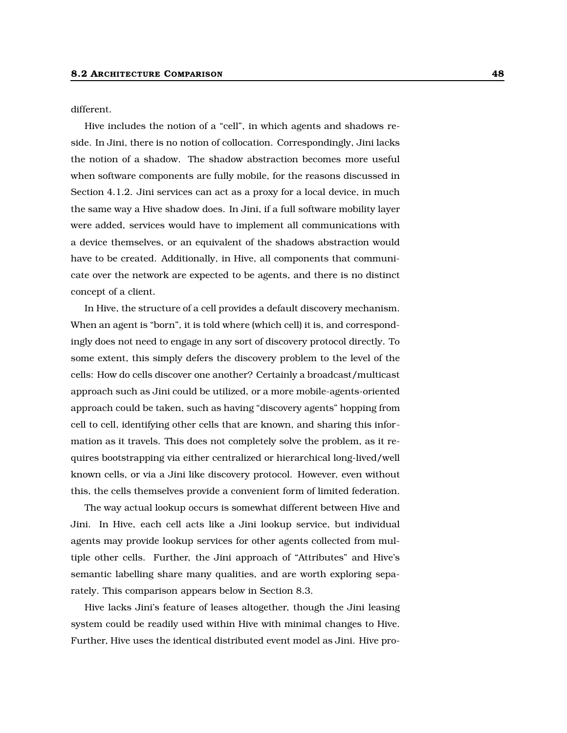different.

Hive includes the notion of a "cell", in which agents and shadows reside. In Jini, there is no notion of collocation. Correspondingly, Jini lacks the notion of a shadow. The shadow abstraction becomes more useful when software components are fully mobile, for the reasons discussed in Section 4.1.2. Jini services can act as a proxy for a local device, in much the same way a Hive shadow does. In Jini, if a full software mobility layer were added, services would have to implement all communications with a device themselves, or an equivalent of the shadows abstraction would have to be created. Additionally, in Hive, all components that communicate over the network are expected to be agents, and there is no distinct concept of a client.

In Hive, the structure of a cell provides a default discovery mechanism. When an agent is "born", it is told where (which cell) it is, and correspondingly does not need to engage in any sort of discovery protocol directly. To some extent, this simply defers the discovery problem to the level of the cells: How do cells discover one another? Certainly a broadcast/multicast approach such as Jini could be utilized, or a more mobile-agents-oriented approach could be taken, such as having "discovery agents" hopping from cell to cell, identifying other cells that are known, and sharing this information as it travels. This does not completely solve the problem, as it requires bootstrapping via either centralized or hierarchical long-lived/well known cells, or via a Jini like discovery protocol. However, even without this, the cells themselves provide a convenient form of limited federation.

The way actual lookup occurs is somewhat different between Hive and Jini. In Hive, each cell acts like a Jini lookup service, but individual agents may provide lookup services for other agents collected from multiple other cells. Further, the Jini approach of "Attributes" and Hive's semantic labelling share many qualities, and are worth exploring separately. This comparison appears below in Section 8.3.

Hive lacks Jini's feature of leases altogether, though the Jini leasing system could be readily used within Hive with minimal changes to Hive. Further, Hive uses the identical distributed event model as Jini. Hive pro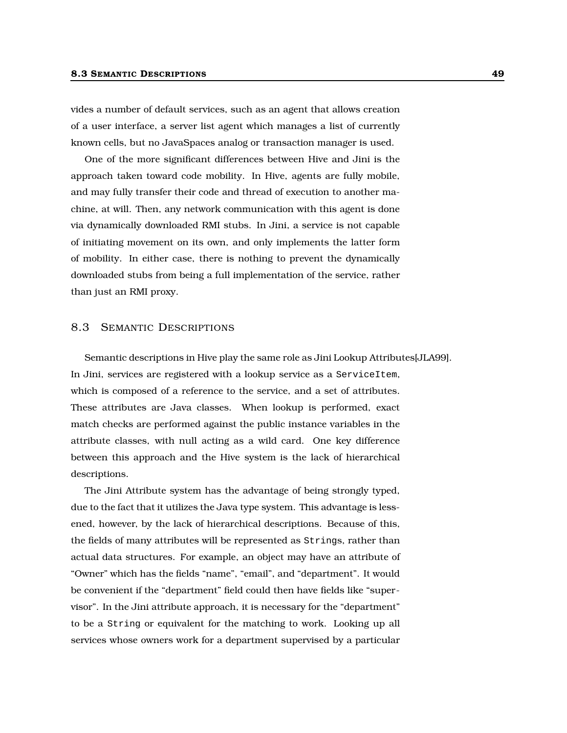vides a number of default services, such as an agent that allows creation of a user interface, a server list agent which manages a list of currently known cells, but no JavaSpaces analog or transaction manager is used.

One of the more significant differences between Hive and Jini is the approach taken toward code mobility. In Hive, agents are fully mobile, and may fully transfer their code and thread of execution to another machine, at will. Then, any network communication with this agent is done via dynamically downloaded RMI stubs. In Jini, a service is not capable of initiating movement on its own, and only implements the latter form of mobility. In either case, there is nothing to prevent the dynamically downloaded stubs from being a full implementation of the service, rather than just an RMI proxy.

### 8.3 SEMANTIC DESCRIPTIONS

Semantic descriptions in Hive play the same role as Jini Lookup Attributes[JLA99]. In Jini, services are registered with a lookup service as a ServiceItem, which is composed of a reference to the service, and a set of attributes. These attributes are Java classes. When lookup is performed, exact match checks are performed against the public instance variables in the attribute classes, with null acting as a wild card. One key difference between this approach and the Hive system is the lack of hierarchical descriptions.

The Jini Attribute system has the advantage of being strongly typed, due to the fact that it utilizes the Java type system. This advantage is lessened, however, by the lack of hierarchical descriptions. Because of this, the fields of many attributes will be represented as Strings, rather than actual data structures. For example, an object may have an attribute of "Owner" which has the fields "name", "email", and "department". It would be convenient if the "department" field could then have fields like "supervisor". In the Jini attribute approach, it is necessary for the "department" to be a String or equivalent for the matching to work. Looking up all services whose owners work for a department supervised by a particular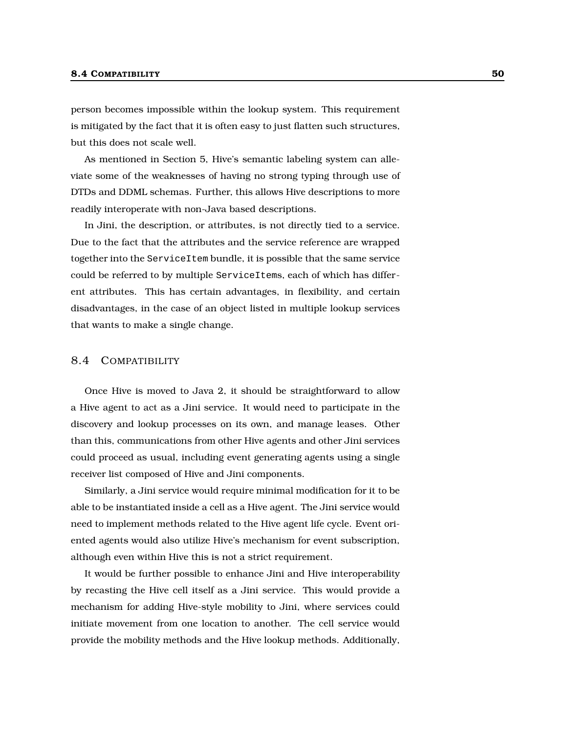#### 8.4 COMPATIBILITY 50

person becomes impossible within the lookup system. This requirement is mitigated by the fact that it is often easy to just flatten such structures, but this does not scale well.

As mentioned in Section 5, Hive's semantic labeling system can alleviate some of the weaknesses of having no strong typing through use of DTDs and DDML schemas. Further, this allows Hive descriptions to more readily interoperate with non-Java based descriptions.

In Jini, the description, or attributes, is not directly tied to a service. Due to the fact that the attributes and the service reference are wrapped together into the ServiceItem bundle, it is possible that the same service could be referred to by multiple ServiceItems, each of which has different attributes. This has certain advantages, in flexibility, and certain disadvantages, in the case of an object listed in multiple lookup services that wants to make a single change.

### 8.4 COMPATIBILITY

Once Hive is moved to Java 2, it should be straightforward to allow a Hive agent to act as a Jini service. It would need to participate in the discovery and lookup processes on its own, and manage leases. Other than this, communications from other Hive agents and other Jini services could proceed as usual, including event generating agents using a single receiver list composed of Hive and Jini components.

Similarly, a Jini service would require minimal modification for it to be able to be instantiated inside a cell as a Hive agent. The Jini service would need to implement methods related to the Hive agent life cycle. Event oriented agents would also utilize Hive's mechanism for event subscription, although even within Hive this is not a strict requirement.

It would be further possible to enhance Jini and Hive interoperability by recasting the Hive cell itself as a Jini service. This would provide a mechanism for adding Hive-style mobility to Jini, where services could initiate movement from one location to another. The cell service would provide the mobility methods and the Hive lookup methods. Additionally,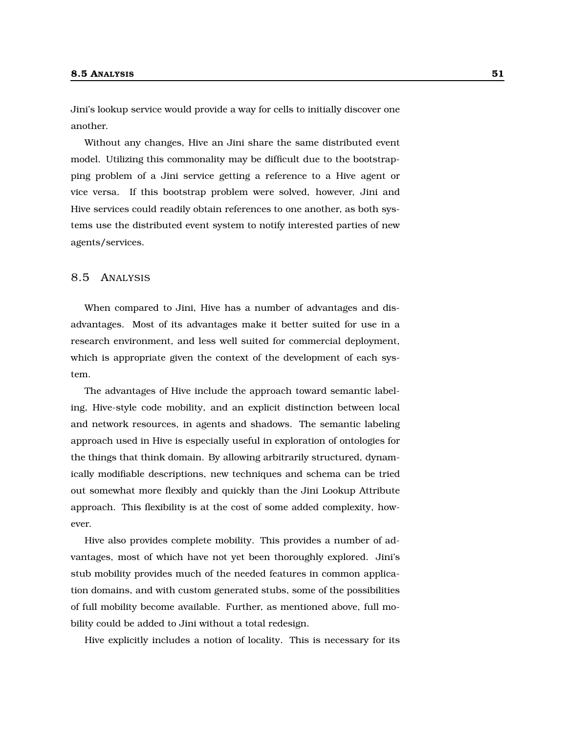Jini's lookup service would provide a way for cells to initially discover one another.

Without any changes, Hive an Jini share the same distributed event model. Utilizing this commonality may be difficult due to the bootstrapping problem of a Jini service getting a reference to a Hive agent or vice versa. If this bootstrap problem were solved, however, Jini and Hive services could readily obtain references to one another, as both systems use the distributed event system to notify interested parties of new agents/services.

## 8.5 ANALYSIS

When compared to Jini, Hive has a number of advantages and disadvantages. Most of its advantages make it better suited for use in a research environment, and less well suited for commercial deployment, which is appropriate given the context of the development of each system.

The advantages of Hive include the approach toward semantic labeling, Hive-style code mobility, and an explicit distinction between local and network resources, in agents and shadows. The semantic labeling approach used in Hive is especially useful in exploration of ontologies for the things that think domain. By allowing arbitrarily structured, dynamically modifiable descriptions, new techniques and schema can be tried out somewhat more flexibly and quickly than the Jini Lookup Attribute approach. This flexibility is at the cost of some added complexity, however.

Hive also provides complete mobility. This provides a number of advantages, most of which have not yet been thoroughly explored. Jini's stub mobility provides much of the needed features in common application domains, and with custom generated stubs, some of the possibilities of full mobility become available. Further, as mentioned above, full mobility could be added to Jini without a total redesign.

Hive explicitly includes a notion of locality. This is necessary for its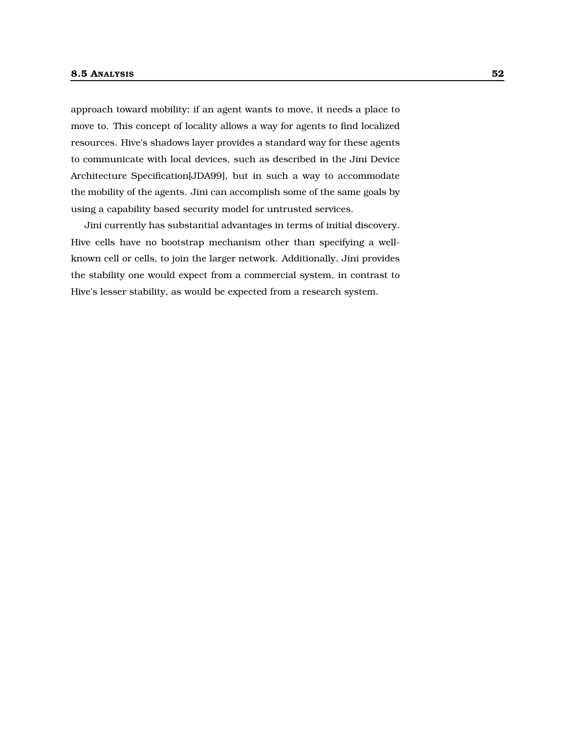approach toward mobility; if an agent wants to move, it needs a place to move to. This concept of locality allows a way for agents to find localized resources. Hive's shadows layer provides a standard way for these agents to communicate with local devices, such as described in the Jini Device Architecture Specification[JDA99], but in such a way to accommodate the mobility of the agents. Jini can accomplish some of the same goals by using a capability based security model for untrusted services.

Jini currently has substantial advantages in terms of initial discovery. Hive cells have no bootstrap mechanism other than specifying a wellknown cell or cells, to join the larger network. Additionally, Jini provides the stability one would expect from a commercial system, in contrast to Hive's lesser stability, as would be expected from a research system.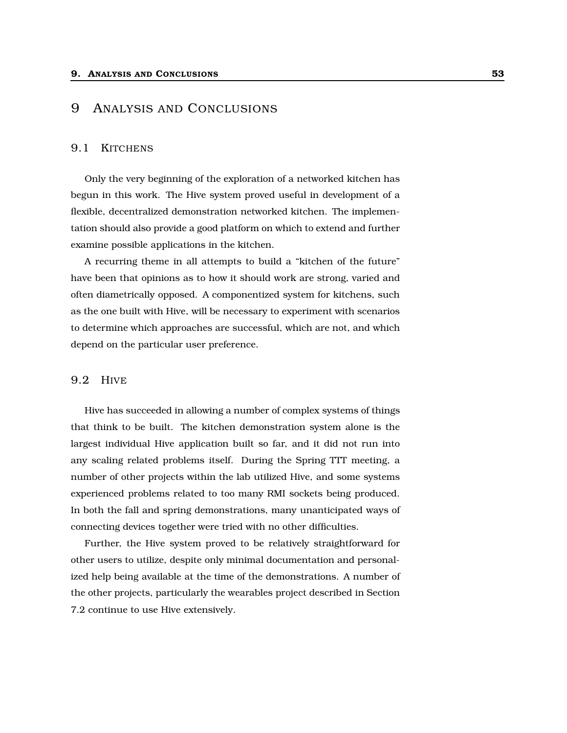## 9 ANALYSIS AND CONCLUSIONS

### 9.1 KITCHENS

Only the very beginning of the exploration of a networked kitchen has begun in this work. The Hive system proved useful in development of a flexible, decentralized demonstration networked kitchen. The implementation should also provide a good platform on which to extend and further examine possible applications in the kitchen.

A recurring theme in all attempts to build a "kitchen of the future" have been that opinions as to how it should work are strong, varied and often diametrically opposed. A componentized system for kitchens, such as the one built with Hive, will be necessary to experiment with scenarios to determine which approaches are successful, which are not, and which depend on the particular user preference.

### 9.2 HIVE

Hive has succeeded in allowing a number of complex systems of things that think to be built. The kitchen demonstration system alone is the largest individual Hive application built so far, and it did not run into any scaling related problems itself. During the Spring TTT meeting, a number of other projects within the lab utilized Hive, and some systems experienced problems related to too many RMI sockets being produced. In both the fall and spring demonstrations, many unanticipated ways of connecting devices together were tried with no other difficulties.

Further, the Hive system proved to be relatively straightforward for other users to utilize, despite only minimal documentation and personalized help being available at the time of the demonstrations. A number of the other projects, particularly the wearables project described in Section 7.2 continue to use Hive extensively.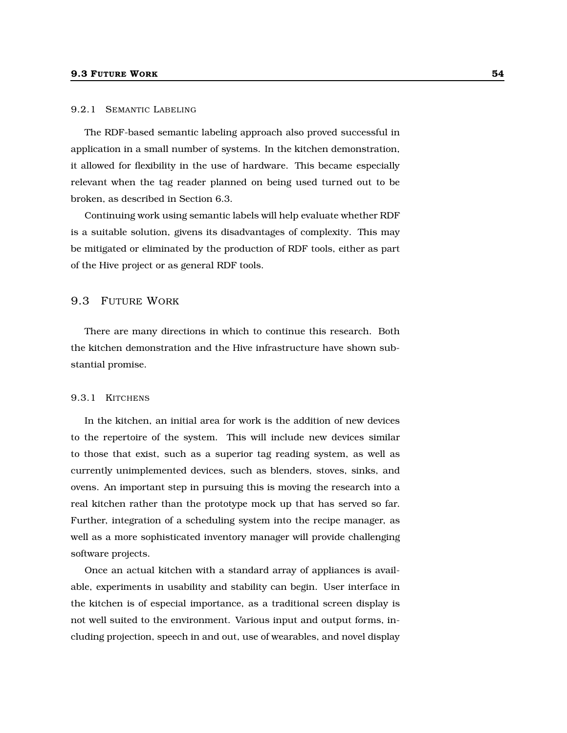### 9.2.1 SEMANTIC LABELING

The RDF-based semantic labeling approach also proved successful in application in a small number of systems. In the kitchen demonstration, it allowed for flexibility in the use of hardware. This became especially relevant when the tag reader planned on being used turned out to be broken, as described in Section 6.3.

Continuing work using semantic labels will help evaluate whether RDF is a suitable solution, givens its disadvantages of complexity. This may be mitigated or eliminated by the production of RDF tools, either as part of the Hive project or as general RDF tools.

### 9.3 FUTURE WORK

There are many directions in which to continue this research. Both the kitchen demonstration and the Hive infrastructure have shown substantial promise.

### 9.3.1 KITCHENS

In the kitchen, an initial area for work is the addition of new devices to the repertoire of the system. This will include new devices similar to those that exist, such as a superior tag reading system, as well as currently unimplemented devices, such as blenders, stoves, sinks, and ovens. An important step in pursuing this is moving the research into a real kitchen rather than the prototype mock up that has served so far. Further, integration of a scheduling system into the recipe manager, as well as a more sophisticated inventory manager will provide challenging software projects.

Once an actual kitchen with a standard array of appliances is available, experiments in usability and stability can begin. User interface in the kitchen is of especial importance, as a traditional screen display is not well suited to the environment. Various input and output forms, including projection, speech in and out, use of wearables, and novel display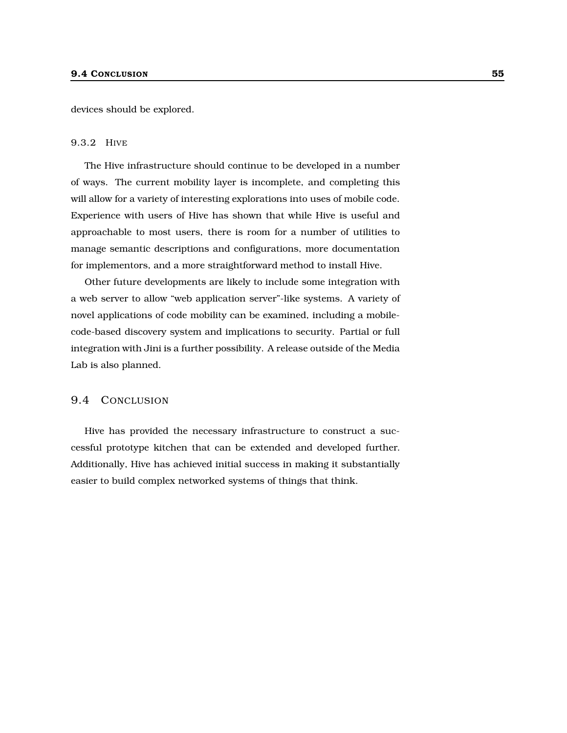devices should be explored.

### 9.3.2 HIVE

The Hive infrastructure should continue to be developed in a number of ways. The current mobility layer is incomplete, and completing this will allow for a variety of interesting explorations into uses of mobile code. Experience with users of Hive has shown that while Hive is useful and approachable to most users, there is room for a number of utilities to manage semantic descriptions and configurations, more documentation for implementors, and a more straightforward method to install Hive.

Other future developments are likely to include some integration with a web server to allow "web application server"-like systems. A variety of novel applications of code mobility can be examined, including a mobilecode-based discovery system and implications to security. Partial or full integration with Jini is a further possibility. A release outside of the Media Lab is also planned.

### 9.4 CONCLUSION

Hive has provided the necessary infrastructure to construct a successful prototype kitchen that can be extended and developed further. Additionally, Hive has achieved initial success in making it substantially easier to build complex networked systems of things that think.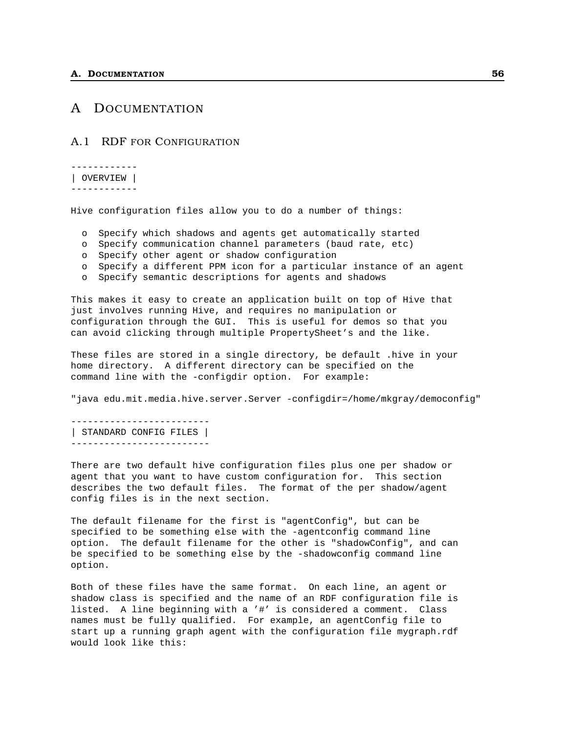## A DOCUMENTATION

### A.1 RDF FOR CONFIGURATION

------------

| OVERVIEW | ------------

Hive configuration files allow you to do a number of things:

- o Specify which shadows and agents get automatically started
- o Specify communication channel parameters (baud rate, etc)
- o Specify other agent or shadow configuration
- o Specify a different PPM icon for a particular instance of an agent
- o Specify semantic descriptions for agents and shadows

This makes it easy to create an application built on top of Hive that just involves running Hive, and requires no manipulation or configuration through the GUI. This is useful for demos so that you can avoid clicking through multiple PropertySheet's and the like.

These files are stored in a single directory, be default .hive in your home directory. A different directory can be specified on the command line with the -configdir option. For example:

"java edu.mit.media.hive.server.Server -configdir=/home/mkgray/democonfig"

------------------------- | STANDARD CONFIG FILES | -------------------------

There are two default hive configuration files plus one per shadow or agent that you want to have custom configuration for. This section describes the two default files. The format of the per shadow/agent config files is in the next section.

The default filename for the first is "agentConfig", but can be specified to be something else with the -agentconfig command line option. The default filename for the other is "shadowConfig", and can be specified to be something else by the -shadowconfig command line option.

Both of these files have the same format. On each line, an agent or shadow class is specified and the name of an RDF configuration file is listed. A line beginning with a '#' is considered a comment. Class names must be fully qualified. For example, an agentConfig file to start up a running graph agent with the configuration file mygraph.rdf would look like this: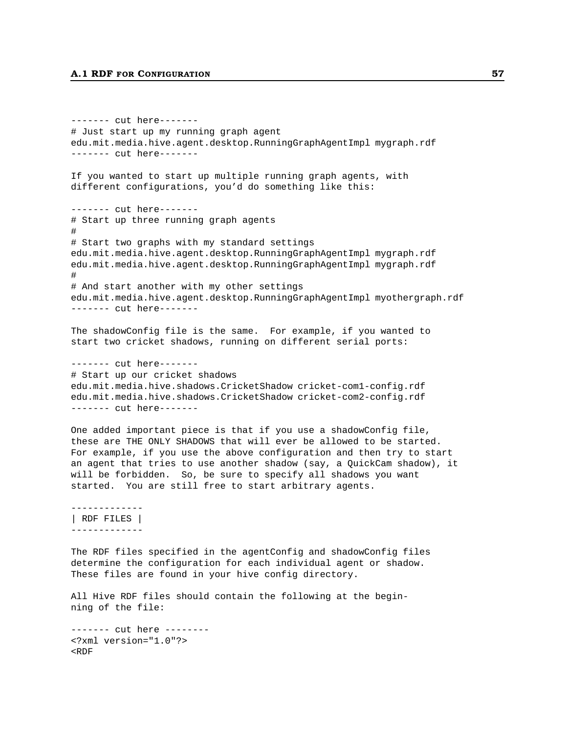#### A.1 RDF FOR CONFIGURATION 57

------- cut here------- # Just start up my running graph agent edu.mit.media.hive.agent.desktop.RunningGraphAgentImpl mygraph.rdf ------- cut here------- If you wanted to start up multiple running graph agents, with different configurations, you'd do something like this: ------- cut here------- # Start up three running graph agents # # Start two graphs with my standard settings edu.mit.media.hive.agent.desktop.RunningGraphAgentImpl mygraph.rdf edu.mit.media.hive.agent.desktop.RunningGraphAgentImpl mygraph.rdf # # And start another with my other settings edu.mit.media.hive.agent.desktop.RunningGraphAgentImpl myothergraph.rdf ------- cut here------- The shadowConfig file is the same. For example, if you wanted to start two cricket shadows, running on different serial ports: ------- cut here------- # Start up our cricket shadows edu.mit.media.hive.shadows.CricketShadow cricket-com1-config.rdf edu.mit.media.hive.shadows.CricketShadow cricket-com2-config.rdf ------- cut here------- One added important piece is that if you use a shadowConfig file, these are THE ONLY SHADOWS that will ever be allowed to be started. For example, if you use the above configuration and then try to start an agent that tries to use another shadow (say, a QuickCam shadow), it will be forbidden. So, be sure to specify all shadows you want started. You are still free to start arbitrary agents. ------------- | RDF FILES | ------------- The RDF files specified in the agentConfig and shadowConfig files determine the configuration for each individual agent or shadow. These files are found in your hive config directory. All Hive RDF files should contain the following at the beginning of the file: ------- cut here -------- <?xml version="1.0"?>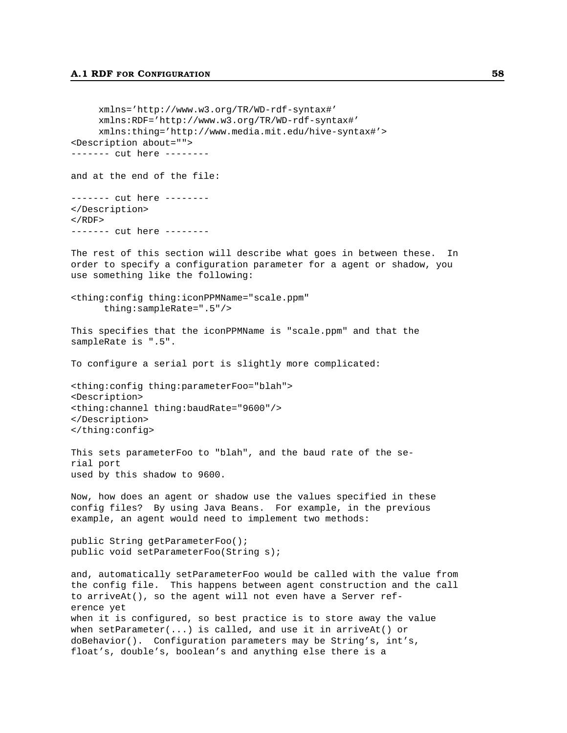```
xmlns='http://www.w3.org/TR/WD-rdf-syntax#'
     xmlns:RDF='http://www.w3.org/TR/WD-rdf-syntax#'
     xmlns:thing='http://www.media.mit.edu/hive-syntax#'>
<Description about="">
------- cut here --------
and at the end of the file:
------- cut here --------
</Description>
</RDF>
------- cut here --------
The rest of this section will describe what goes in between these. In
order to specify a configuration parameter for a agent or shadow, you
use something like the following:
<thing:config thing:iconPPMName="scale.ppm"
      thing:sampleRate=".5"/>
This specifies that the iconPPMName is "scale.ppm" and that the
sampleRate is ".5".
To configure a serial port is slightly more complicated:
<thing:config thing:parameterFoo="blah">
<Description>
<thing:channel thing:baudRate="9600"/>
</Description>
</thing:config>
This sets parameterFoo to "blah", and the baud rate of the se-
rial port
used by this shadow to 9600.
Now, how does an agent or shadow use the values specified in these
config files? By using Java Beans. For example, in the previous
example, an agent would need to implement two methods:
public String getParameterFoo();
public void setParameterFoo(String s);
and, automatically setParameterFoo would be called with the value from
the config file. This happens between agent construction and the call
to arriveAt(), so the agent will not even have a Server ref-
erence yet
when it is configured, so best practice is to store away the value
when setParameter(...) is called, and use it in arriveAt() or
doBehavior(). Configuration parameters may be String's, int's,
float's, double's, boolean's and anything else there is a
```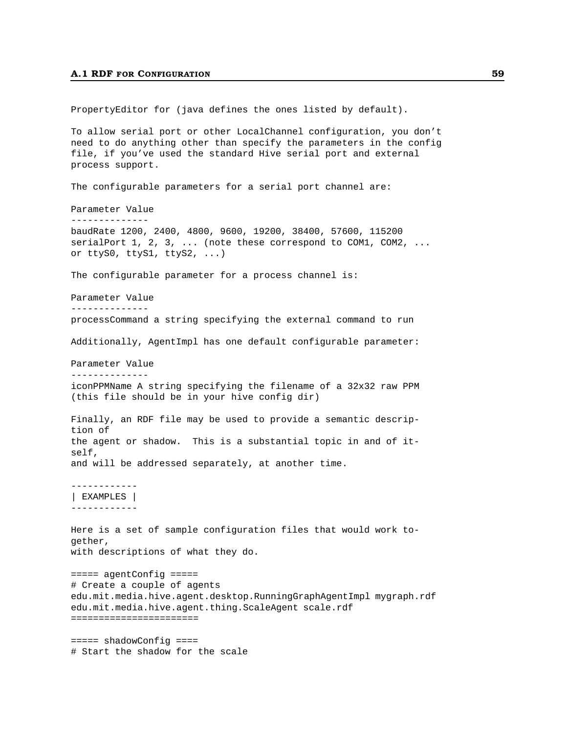PropertyEditor for (java defines the ones listed by default). To allow serial port or other LocalChannel configuration, you don't need to do anything other than specify the parameters in the config file, if you've used the standard Hive serial port and external process support. The configurable parameters for a serial port channel are: Parameter Value ------------- baudRate 1200, 2400, 4800, 9600, 19200, 38400, 57600, 115200 serialPort 1, 2, 3, ... (note these correspond to COM1, COM2, ... or ttyS0, ttyS1, ttyS2, ...) The configurable parameter for a process channel is: Parameter Value ------------- processCommand a string specifying the external command to run Additionally, AgentImpl has one default configurable parameter: Parameter Value ------------- iconPPMName A string specifying the filename of a 32x32 raw PPM (this file should be in your hive config dir) Finally, an RDF file may be used to provide a semantic description of the agent or shadow. This is a substantial topic in and of itself, and will be addressed separately, at another time. ------------ | EXAMPLES | ------------ Here is a set of sample configuration files that would work together, with descriptions of what they do. ===== agentConfig ===== # Create a couple of agents edu.mit.media.hive.agent.desktop.RunningGraphAgentImpl mygraph.rdf edu.mit.media.hive.agent.thing.ScaleAgent scale.rdf ======================= ===== shadowConfig ==== # Start the shadow for the scale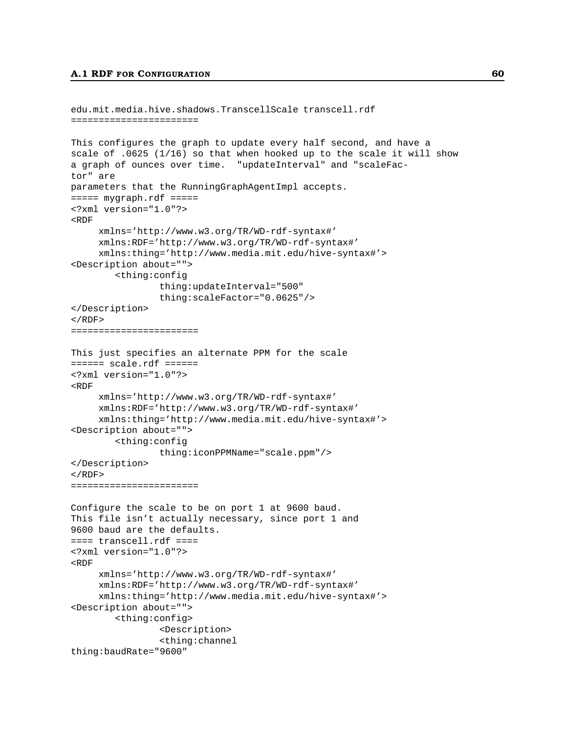```
edu.mit.media.hive.shadows.TranscellScale transcell.rdf
=======================
This configures the graph to update every half second, and have a
scale of .0625 (1/16) so that when hooked up to the scale it will show
a graph of ounces over time. "updateInterval" and "scaleFac-
tor" are
parameters that the RunningGraphAgentImpl accepts.
===== mygraph.rdf =====
<?xml version="1.0"?>
<RDF
     xmlns='http://www.w3.org/TR/WD-rdf-syntax#'
     xmlns:RDF='http://www.w3.org/TR/WD-rdf-syntax#'
     xmlns:thing='http://www.media.mit.edu/hive-syntax#'>
<Description about="">
        <thing:config
                thing:updateInterval="500"
                thing:scaleFactor="0.0625"/>
</Description>
</RDF>
=======================
This just specifies an alternate PPM for the scale
==== = scale.rdf == == ==<?xml version="1.0"?>
<RDF
     xmlns='http://www.w3.org/TR/WD-rdf-syntax#'
     xmlns:RDF='http://www.w3.org/TR/WD-rdf-syntax#'
     xmlns:thing='http://www.media.mit.edu/hive-syntax#'>
<Description about="">
        <thing:config
                thing:iconPPMName="scale.ppm"/>
</Description>
</RDF>
=======================
Configure the scale to be on port 1 at 9600 baud.
This file isn't actually necessary, since port 1 and
9600 baud are the defaults.
==== transcell.rdf ====
<?xml version="1.0"?>
RDFxmlns='http://www.w3.org/TR/WD-rdf-syntax#'
     xmlns:RDF='http://www.w3.org/TR/WD-rdf-syntax#'
     xmlns:thing='http://www.media.mit.edu/hive-syntax#'>
<Description about="">
        <thing:config>
                <Description>
                <thing:channel
thing:baudRate="9600"
```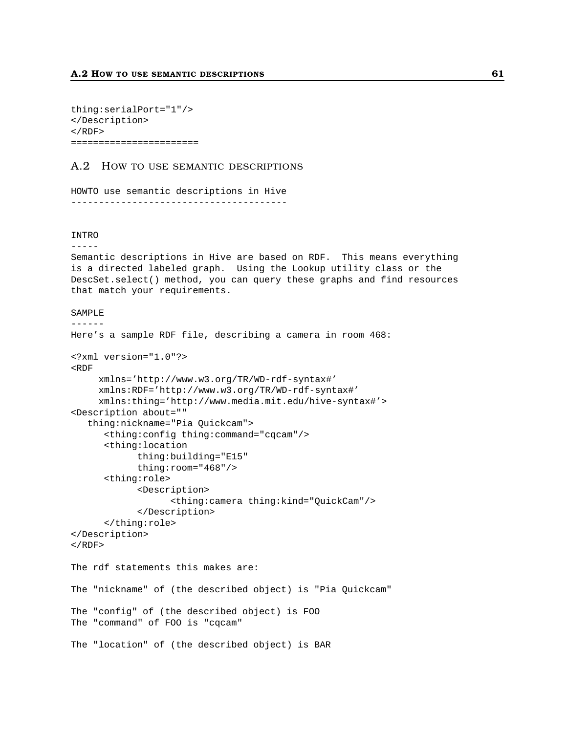```
thing:serialPort="1"/>
</Description>
</RDF>
=======================
```
### A.2 HOW TO USE SEMANTIC DESCRIPTIONS

HOWTO use semantic descriptions in Hive ---------------------------------------

#### INTRO

#### -----

Semantic descriptions in Hive are based on RDF. This means everything is a directed labeled graph. Using the Lookup utility class or the DescSet.select() method, you can query these graphs and find resources that match your requirements.

### SAMPLE

```
------
Here's a sample RDF file, describing a camera in room 468:
<?xml version="1.0"?>
RDFxmlns='http://www.w3.org/TR/WD-rdf-syntax#'
     xmlns:RDF='http://www.w3.org/TR/WD-rdf-syntax#'
     xmlns:thing='http://www.media.mit.edu/hive-syntax#'>
<Description about=""
   thing:nickname="Pia Quickcam">
      <thing:config thing:command="cqcam"/>
      <thing:location
            thing:building="E15"
            thing:room="468"/>
      <thing:role>
            <Description>
                  <thing:camera thing:kind="QuickCam"/>
            </Description>
      </thing:role>
</Description>
\langle / RDF >The rdf statements this makes are:
The "nickname" of (the described object) is "Pia Quickcam"
The "config" of (the described object) is FOO
The "command" of FOO is "cqcam"
The "location" of (the described object) is BAR
```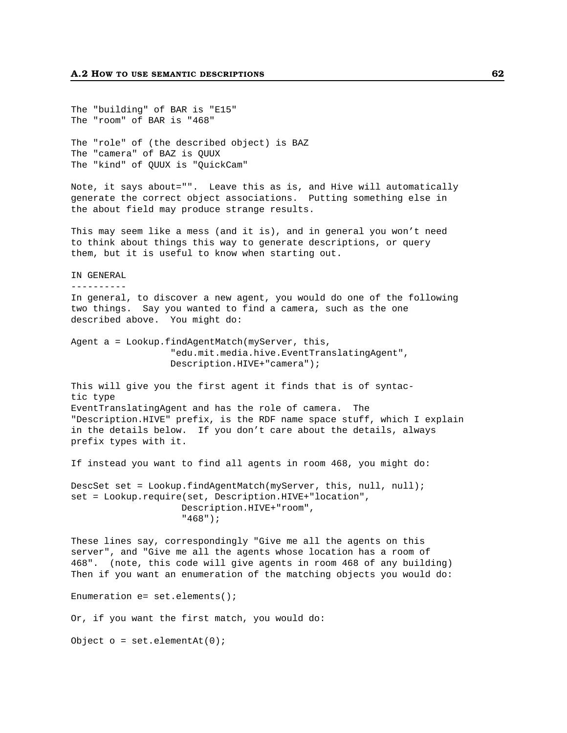The "building" of BAR is "E15" The "room" of BAR is "468" The "role" of (the described object) is BAZ The "camera" of BAZ is QUUX The "kind" of QUUX is "QuickCam" Note, it says about="". Leave this as is, and Hive will automatically generate the correct object associations. Putting something else in the about field may produce strange results. This may seem like a mess (and it is), and in general you won't need to think about things this way to generate descriptions, or query them, but it is useful to know when starting out. IN GENERAL ---------- In general, to discover a new agent, you would do one of the following two things. Say you wanted to find a camera, such as the one described above. You might do: Agent a = Lookup.findAgentMatch(myServer, this, "edu.mit.media.hive.EventTranslatingAgent", Description.HIVE+"camera"); This will give you the first agent it finds that is of syntactic type EventTranslatingAgent and has the role of camera. The "Description.HIVE" prefix, is the RDF name space stuff, which I explain in the details below. If you don't care about the details, always prefix types with it. If instead you want to find all agents in room 468, you might do: DescSet set = Lookup.findAgentMatch(myServer, this, null, null); set = Lookup.require(set, Description.HIVE+"location", Description.HIVE+"room", "468"); These lines say, correspondingly "Give me all the agents on this server", and "Give me all the agents whose location has a room of 468". (note, this code will give agents in room 468 of any building) Then if you want an enumeration of the matching objects you would do: Enumeration e= set.elements(); Or, if you want the first match, you would do: Object  $o = set.elementAt(0);$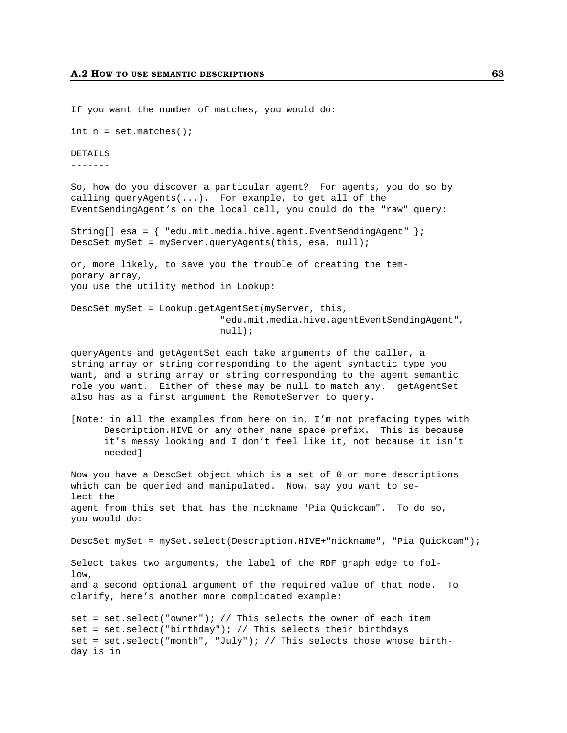If you want the number of matches, you would do: int  $n = set.matches()$ ; DETAILS ------- So, how do you discover a particular agent? For agents, you do so by calling queryAgents(...). For example, to get all of the EventSendingAgent's on the local cell, you could do the "raw" query: String[] esa = { "edu.mit.media.hive.agent.EventSendingAgent" }; DescSet mySet = myServer.queryAgents(this, esa, null); or, more likely, to save you the trouble of creating the temporary array, you use the utility method in Lookup: DescSet mySet = Lookup.getAgentSet(myServer, this, "edu.mit.media.hive.agentEventSendingAgent", null); queryAgents and getAgentSet each take arguments of the caller, a string array or string corresponding to the agent syntactic type you want, and a string array or string corresponding to the agent semantic role you want. Either of these may be null to match any. getAgentSet also has as a first argument the RemoteServer to query. [Note: in all the examples from here on in, I'm not prefacing types with Description.HIVE or any other name space prefix. This is because it's messy looking and I don't feel like it, not because it isn't needed] Now you have a DescSet object which is a set of 0 or more descriptions which can be queried and manipulated. Now, say you want to select the agent from this set that has the nickname "Pia Quickcam". To do so, you would do: DescSet mySet = mySet.select(Description.HIVE+"nickname", "Pia Quickcam"); Select takes two arguments, the label of the RDF graph edge to follow, and a second optional argument of the required value of that node. To clarify, here's another more complicated example: set = set.select("owner"); // This selects the owner of each item set = set.select("birthday"); // This selects their birthdays set = set.select("month", "July"); // This selects those whose birthday is in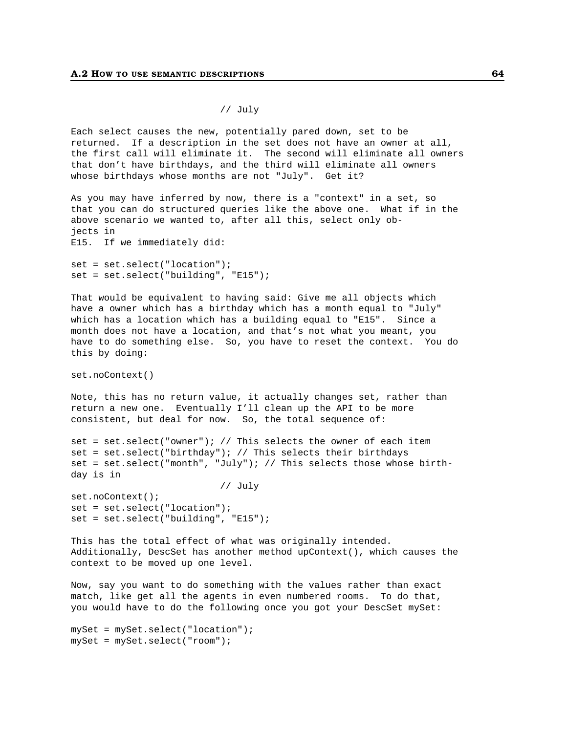// July

Each select causes the new, potentially pared down, set to be returned. If a description in the set does not have an owner at all, the first call will eliminate it. The second will eliminate all owners that don't have birthdays, and the third will eliminate all owners whose birthdays whose months are not "July". Get it?

As you may have inferred by now, there is a "context" in a set, so that you can do structured queries like the above one. What if in the above scenario we wanted to, after all this, select only objects in E15. If we immediately did:

```
set = set.select("location");
set = set.select("building", "E15");
```
That would be equivalent to having said: Give me all objects which have a owner which has a birthday which has a month equal to "July" which has a location which has a building equal to "E15". Since a month does not have a location, and that's not what you meant, you have to do something else. So, you have to reset the context. You do this by doing:

set.noContext()

Note, this has no return value, it actually changes set, rather than return a new one. Eventually I'll clean up the API to be more consistent, but deal for now. So, the total sequence of:

```
set = set.select("owner"); // This selects the owner of each item
set = set.select("birthday"); // This selects their birthdays
set = set.select("month", "July"); // This selects those whose birth-
day is in
```

```
// July
```
set.noContext(); set = set.select("location"); set = set.select("building", "E15");

This has the total effect of what was originally intended. Additionally, DescSet has another method upContext(), which causes the context to be moved up one level.

Now, say you want to do something with the values rather than exact match, like get all the agents in even numbered rooms. To do that, you would have to do the following once you got your DescSet mySet:

mySet = mySet.select("location"); mySet = mySet.select("room");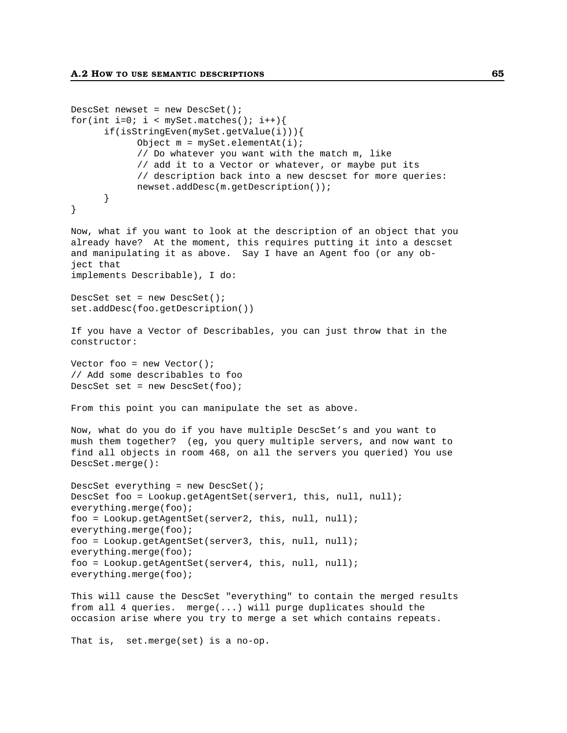```
DescSet newset = new DescSet();
for(int i=0; i < mySet.matches(); i++){
      if(isStringEven(mySet.getValue(i))){
            Object m = mySet.elementAt(i);
            // Do whatever you want with the match m, like
            // add it to a Vector or whatever, or maybe put its
            // description back into a new descset for more queries:
            newset.addDesc(m.getDescription());
      }
}
Now, what if you want to look at the description of an object that you
already have? At the moment, this requires putting it into a descset
and manipulating it as above. Say I have an Agent foo (or any ob-
ject that
implements Describable), I do:
DescSet set = new DescSet();
set.addDesc(foo.getDescription())
If you have a Vector of Describables, you can just throw that in the
constructor:
Vector foo = new Vector();
// Add some describables to foo
DescSet set = new DescSet(foo);
From this point you can manipulate the set as above.
Now, what do you do if you have multiple DescSet's and you want to
mush them together? (eg, you query multiple servers, and now want to
find all objects in room 468, on all the servers you queried) You use
DescSet.merge():
DescSet everything = new DescSet();
DescSet foo = Lookup.getAgentSet(server1, this, null, null);
everything.merge(foo);
foo = Lookup.getAgentSet(server2, this, null, null);
everything.merge(foo);
foo = Lookup.getAgentSet(server3, this, null, null);
everything.merge(foo);
foo = Lookup.getAgentSet(server4, this, null, null);
everything.merge(foo);
This will cause the DescSet "everything" to contain the merged results
from all 4 queries. merge(...) will purge duplicates should the
occasion arise where you try to merge a set which contains repeats.
That is, set.merge(set) is a no-op.
```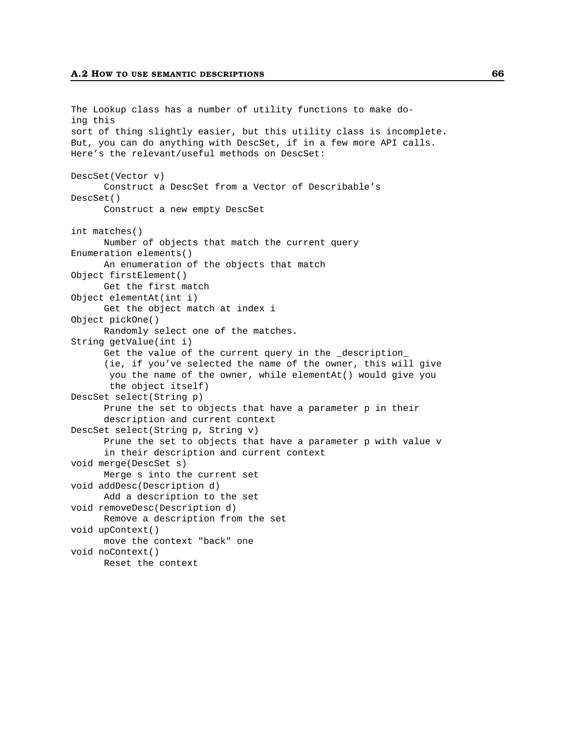```
The Lookup class has a number of utility functions to make do-
ing this
sort of thing slightly easier, but this utility class is incomplete.
But, you can do anything with DescSet, if in a few more API calls.
Here's the relevant/useful methods on DescSet:
DescSet(Vector v)
      Construct a DescSet from a Vector of Describable's
DescSet()
      Construct a new empty DescSet
int matches()
     Number of objects that match the current query
Enumeration elements()
     An enumeration of the objects that match
Object firstElement()
      Get the first match
Object elementAt(int i)
      Get the object match at index i
Object pickOne()
      Randomly select one of the matches.
String getValue(int i)
     Get the value of the current query in the _description_
      (ie, if you've selected the name of the owner, this will give
       you the name of the owner, while elementAt() would give you
       the object itself)
DescSet select(String p)
      Prune the set to objects that have a parameter p in their
      description and current context
DescSet select(String p, String v)
      Prune the set to objects that have a parameter p with value v
      in their description and current context
void merge(DescSet s)
      Merge s into the current set
void addDesc(Description d)
      Add a description to the set
void removeDesc(Description d)
      Remove a description from the set
void upContext()
      move the context "back" one
void noContext()
      Reset the context
```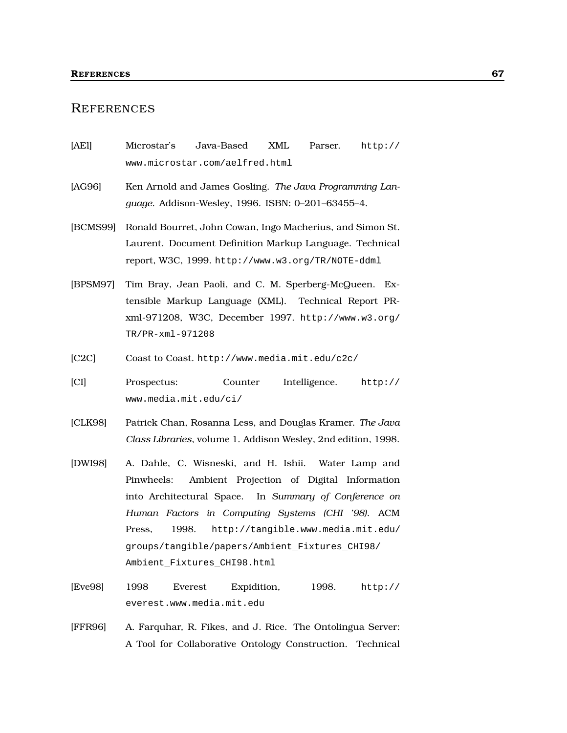## **REFERENCES**

| [AE1] | Microstar's Java-Based XML     |  | Parser. http:// |
|-------|--------------------------------|--|-----------------|
|       | www.microstar.com/aelfred.html |  |                 |

- [AG96] Ken Arnold and James Gosling. *The Java Programming Language*. Addison-Wesley, 1996. ISBN: 0–201–63455–4.
- [BCMS99] Ronald Bourret, John Cowan, Ingo Macherius, and Simon St. Laurent. Document Definition Markup Language. Technical report, W3C, 1999. http://www.w3.org/TR/NOTE-ddml
- [BPSM97] Tim Bray, Jean Paoli, and C. M. Sperberg-McQueen. Extensible Markup Language (XML). Technical Report PRxml-971208, W3C, December 1997. http://www.w3.org/ TR/PR-xml-971208
- [C2C] Coast to Coast. http://www.media.mit.edu/c2c/
- [CI] Prospectus: Counter Intelligence. http:// www.media.mit.edu/ci/
- [CLK98] Patrick Chan, Rosanna Less, and Douglas Kramer. *The Java Class Libraries*, volume 1. Addison Wesley, 2nd edition, 1998.
- [DWI98] A. Dahle, C. Wisneski, and H. Ishii. Water Lamp and Pinwheels: Ambient Projection of Digital Information into Architectural Space. In *Summary of Conference on Human Factors in Computing Systems (CHI '98)*. ACM Press, 1998. http://tangible.www.media.mit.edu/ groups/tangible/papers/Ambient\_Fixtures\_CHI98/ Ambient\_Fixtures\_CHI98.html
- [Eve98] 1998 Everest Expidition, 1998. http:// everest.www.media.mit.edu
- [FFR96] A. Farquhar, R. Fikes, and J. Rice. The Ontolingua Server: A Tool for Collaborative Ontology Construction. Technical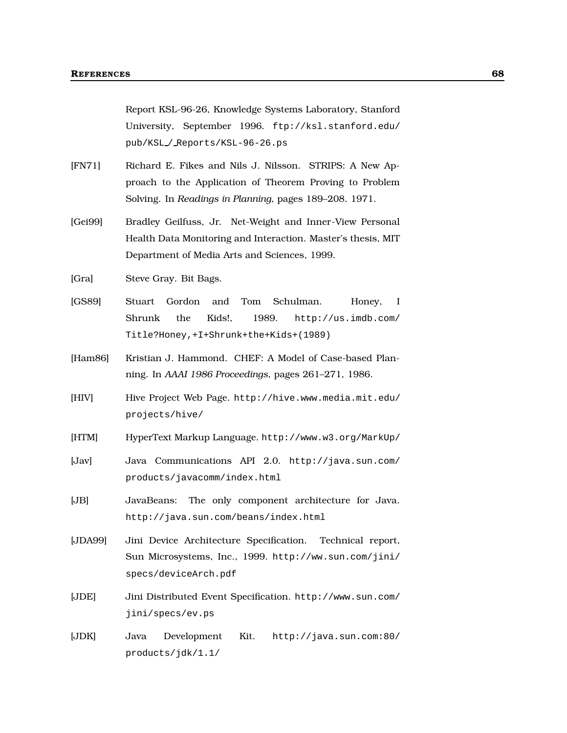Report KSL-96-26, Knowledge Systems Laboratory, Stanford University, September 1996. ftp://ksl.stanford.edu/ pub/KSL / Reports/KSL-96-26.ps

- [FN71] Richard E. Fikes and Nils J. Nilsson. STRIPS: A New Approach to the Application of Theorem Proving to Problem Solving. In *Readings in Planning*, pages 189–208. 1971.
- [Gei99] Bradley Geilfuss, Jr. Net-Weight and Inner-View Personal Health Data Monitoring and Interaction. Master's thesis, MIT Department of Media Arts and Sciences, 1999.
- [Gra] Steve Gray. Bit Bags.
- [GS89] Stuart Gordon and Tom Schulman. Honey, I Shrunk the Kids!, 1989. http://us.imdb.com/ Title?Honey,+I+Shrunk+the+Kids+(1989)
- [Ham86] Kristian J. Hammond. CHEF: A Model of Case-based Planning. In *AAAI 1986 Proceedings*, pages 261–271, 1986.
- [HIV] Hive Project Web Page. http://hive.www.media.mit.edu/ projects/hive/
- [HTM] HyperText Markup Language. http://www.w3.org/MarkUp/
- [Jav] Java Communications API 2.0. http://java.sun.com/ products/javacomm/index.html
- [JB] JavaBeans: The only component architecture for Java. http://java.sun.com/beans/index.html
- [JDA99] Jini Device Architecture Specification. Technical report, Sun Microsystems, Inc., 1999. http://ww.sun.com/jini/ specs/deviceArch.pdf
- [JDE] Jini Distributed Event Specification. http://www.sun.com/ jini/specs/ev.ps
- [JDK] Java Development Kit. http://java.sun.com:80/ products/jdk/1.1/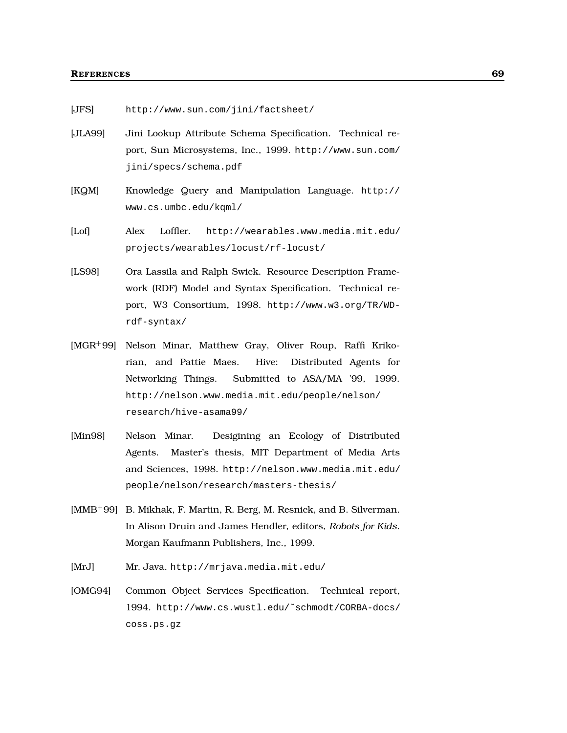[JFS] http://www.sun.com/jini/factsheet/

- [JLA99] Jini Lookup Attribute Schema Specification. Technical report, Sun Microsystems, Inc., 1999. http://www.sun.com/ jini/specs/schema.pdf
- [KQM] Knowledge Query and Manipulation Language. http:// www.cs.umbc.edu/kqml/
- [Lof] Alex Loffler. http://wearables.www.media.mit.edu/ projects/wearables/locust/rf-locust/
- [LS98] Ora Lassila and Ralph Swick. Resource Description Framework (RDF) Model and Syntax Specification. Technical report, W3 Consortium, 1998. http://www.w3.org/TR/WDrdf-syntax/
- [MGR<sup>+</sup> 99] Nelson Minar, Matthew Gray, Oliver Roup, Raffi Krikorian, and Pattie Maes. Hive: Distributed Agents for Networking Things. Submitted to ASA/MA '99, 1999. http://nelson.www.media.mit.edu/people/nelson/ research/hive-asama99/
- [Min98] Nelson Minar. Desigining an Ecology of Distributed Agents. Master's thesis, MIT Department of Media Arts and Sciences, 1998. http://nelson.www.media.mit.edu/ people/nelson/research/masters-thesis/
- [MMB<sup>+</sup> 99] B. Mikhak, F. Martin, R. Berg, M. Resnick, and B. Silverman. In Alison Druin and James Hendler, editors, *Robots for Kids*. Morgan Kaufmann Publishers, Inc., 1999.
- [MrJ] Mr. Java. http://mrjava.media.mit.edu/
- [OMG94] Common Object Services Specification. Technical report, 1994. http://www.cs.wustl.edu/˜schmodt/CORBA-docs/ coss.ps.gz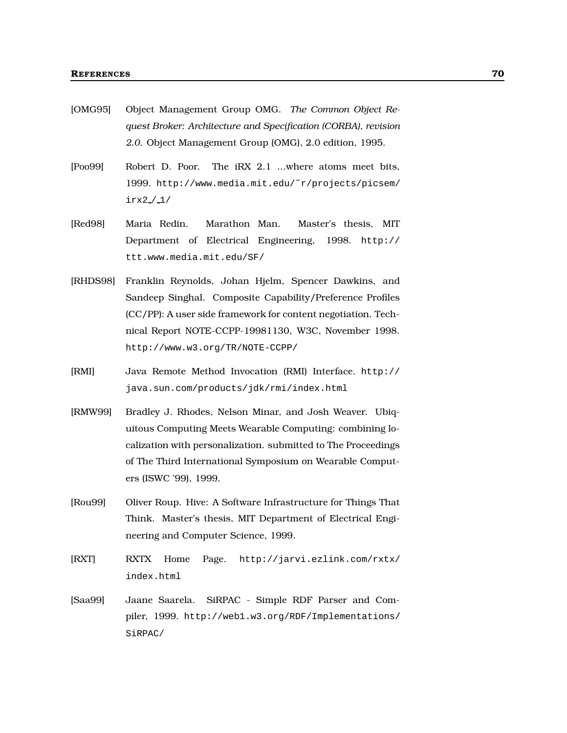- [OMG95] Object Management Group OMG. *The Common Object Request Broker: Architecture and Specification (CORBA), revision 2.0*. Object Management Group (OMG), 2.0 edition, 1995.
- [Poo99] Robert D. Poor. The iRX 2.1 ...where atoms meet bits, 1999. http://www.media.mit.edu/˜r/projects/picsem/ irx2 / 1/
- [Red98] Maria Redin. Marathon Man. Master's thesis, MIT Department of Electrical Engineering, 1998. http:// ttt.www.media.mit.edu/SF/
- [RHDS98] Franklin Reynolds, Johan Hjelm, Spencer Dawkins, and Sandeep Singhal. Composite Capability/Preference Profiles (CC/PP): A user side framework for content negotiation. Technical Report NOTE-CCPP-19981130, W3C, November 1998. http://www.w3.org/TR/NOTE-CCPP/
- [RMI] Java Remote Method Invocation (RMI) Interface. http:// java.sun.com/products/jdk/rmi/index.html
- [RMW99] Bradley J. Rhodes, Nelson Minar, and Josh Weaver. Ubiquitous Computing Meets Wearable Computing: combining localization with personalization. submitted to The Proceedings of The Third International Symposium on Wearable Computers (ISWC '99), 1999.
- [Rou99] Oliver Roup. Hive: A Software Infrastructure for Things That Think. Master's thesis, MIT Department of Electrical Engineering and Computer Science, 1999.
- [RXT] RXTX Home Page. http://jarvi.ezlink.com/rxtx/ index.html
- [Saa99] Jaane Saarela. SiRPAC Simple RDF Parser and Compiler, 1999. http://web1.w3.org/RDF/Implementations/ SiRPAC/